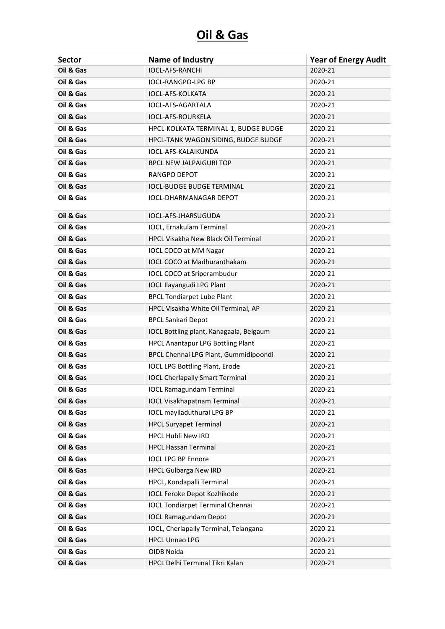| <b>Sector</b> | <b>Name of Industry</b>                  | <b>Year of Energy Audit</b> |
|---------------|------------------------------------------|-----------------------------|
| Oil & Gas     | <b>IOCL-AFS-RANCHI</b>                   | 2020-21                     |
| Oil & Gas     | <b>IOCL-RANGPO-LPG BP</b>                | 2020-21                     |
| Oil & Gas     | IOCL-AFS-KOLKATA                         | 2020-21                     |
| Oil & Gas     | IOCL-AFS-AGARTALA                        | 2020-21                     |
| Oil & Gas     | IOCL-AFS-ROURKELA                        | 2020-21                     |
| Oil & Gas     | HPCL-KOLKATA TERMINAL-1, BUDGE BUDGE     | 2020-21                     |
| Oil & Gas     | HPCL-TANK WAGON SIDING, BUDGE BUDGE      | 2020-21                     |
| Oil & Gas     | IOCL-AFS-KALAIKUNDA                      | 2020-21                     |
| Oil & Gas     | <b>BPCL NEW JALPAIGURI TOP</b>           | 2020-21                     |
| Oil & Gas     | <b>RANGPO DEPOT</b>                      | 2020-21                     |
| Oil & Gas     | <b>IOCL-BUDGE BUDGE TERMINAL</b>         | 2020-21                     |
| Oil & Gas     | <b>IOCL-DHARMANAGAR DEPOT</b>            | 2020-21                     |
| Oil & Gas     | IOCL-AFS-JHARSUGUDA                      | 2020-21                     |
| Oil & Gas     | IOCL, Ernakulam Terminal                 | 2020-21                     |
| Oil & Gas     | HPCL Visakha New Black Oil Terminal      | 2020-21                     |
| Oil & Gas     | IOCL COCO at MM Nagar                    | 2020-21                     |
| Oil & Gas     | IOCL COCO at Madhuranthakam              | 2020-21                     |
| Oil & Gas     | IOCL COCO at Sriperambudur               | 2020-21                     |
| Oil & Gas     | <b>IOCL Ilayangudi LPG Plant</b>         | 2020-21                     |
| Oil & Gas     | <b>BPCL Tondiarpet Lube Plant</b>        | 2020-21                     |
| Oil & Gas     | HPCL Visakha White Oil Terminal, AP      | 2020-21                     |
| Oil & Gas     | <b>BPCL Sankari Depot</b>                | 2020-21                     |
| Oil & Gas     | IOCL Bottling plant, Kanagaala, Belgaum  | 2020-21                     |
| Oil & Gas     | <b>HPCL Anantapur LPG Bottling Plant</b> | 2020-21                     |
| Oil & Gas     | BPCL Chennai LPG Plant, Gummidipoondi    | 2020-21                     |
| Oil & Gas     | <b>IOCL LPG Bottling Plant, Erode</b>    | 2020-21                     |
| Oil & Gas     | <b>IOCL Cherlapally Smart Terminal</b>   | 2020-21                     |
| Oil & Gas     | <b>IOCL Ramagundam Terminal</b>          | 2020-21                     |
| Oil & Gas     | <b>IOCL Visakhapatnam Terminal</b>       | 2020-21                     |
| Oil & Gas     | IOCL mayiladuthurai LPG BP               | 2020-21                     |
| Oil & Gas     | <b>HPCL Suryapet Terminal</b>            | 2020-21                     |
| Oil & Gas     | HPCL Hubli New IRD                       | 2020-21                     |
| Oil & Gas     | <b>HPCL Hassan Terminal</b>              | 2020-21                     |
| Oil & Gas     | <b>IOCL LPG BP Ennore</b>                | 2020-21                     |
| Oil & Gas     | <b>HPCL Gulbarga New IRD</b>             | 2020-21                     |
| Oil & Gas     | HPCL, Kondapalli Terminal                | 2020-21                     |
| Oil & Gas     | <b>IOCL Feroke Depot Kozhikode</b>       | 2020-21                     |
| Oil & Gas     | <b>IOCL Tondiarpet Terminal Chennai</b>  | 2020-21                     |
| Oil & Gas     | <b>IOCL Ramagundam Depot</b>             | 2020-21                     |
| Oil & Gas     | IOCL, Cherlapally Terminal, Telangana    | 2020-21                     |
| Oil & Gas     | <b>HPCL Unnao LPG</b>                    | 2020-21                     |
| Oil & Gas     | OIDB Noida                               | 2020-21                     |
| Oil & Gas     | HPCL Delhi Terminal Tikri Kalan          | 2020-21                     |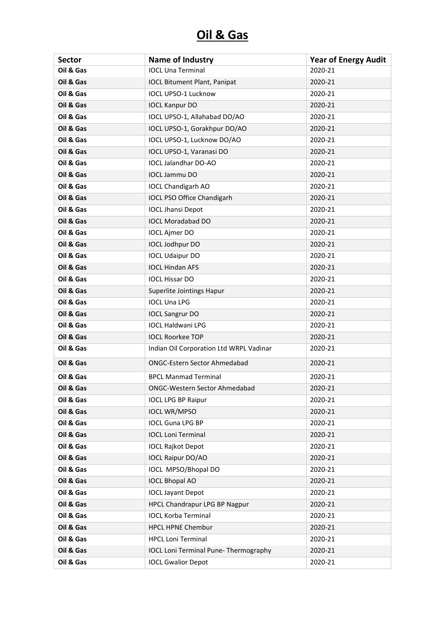| <b>Sector</b> | Name of Industry                             | <b>Year of Energy Audit</b> |
|---------------|----------------------------------------------|-----------------------------|
| Oil & Gas     | <b>IOCL Una Terminal</b>                     | 2020-21                     |
| Oil & Gas     | <b>IOCL Bitument Plant, Panipat</b>          | 2020-21                     |
| Oil & Gas     | <b>IOCL UPSO-1 Lucknow</b>                   | 2020-21                     |
| Oil & Gas     | <b>IOCL Kanpur DO</b>                        | 2020-21                     |
| Oil & Gas     | IOCL UPSO-1, Allahabad DO/AO                 | 2020-21                     |
| Oil & Gas     | IOCL UPSO-1, Gorakhpur DO/AO                 | 2020-21                     |
| Oil & Gas     | IOCL UPSO-1, Lucknow DO/AO                   | 2020-21                     |
| Oil & Gas     | IOCL UPSO-1, Varanasi DO                     | 2020-21                     |
| Oil & Gas     | <b>IOCL Jalandhar DO-AO</b>                  | 2020-21                     |
| Oil & Gas     | <b>IOCL Jammu DO</b>                         | 2020-21                     |
| Oil & Gas     | <b>IOCL Chandigarh AO</b>                    | 2020-21                     |
| Oil & Gas     | IOCL PSO Office Chandigarh                   | 2020-21                     |
| Oil & Gas     | <b>IOCL Jhansi Depot</b>                     | 2020-21                     |
| Oil & Gas     | <b>IOCL Moradabad DO</b>                     | 2020-21                     |
| Oil & Gas     | <b>IOCL Ajmer DO</b>                         | 2020-21                     |
| Oil & Gas     | IOCL Jodhpur DO                              | 2020-21                     |
| Oil & Gas     | <b>IOCL Udaipur DO</b>                       | 2020-21                     |
| Oil & Gas     | <b>IOCL Hindan AFS</b>                       | 2020-21                     |
| Oil & Gas     | <b>IOCL Hissar DO</b>                        | 2020-21                     |
| Oil & Gas     | Superlite Jointings Hapur                    | 2020-21                     |
| Oil & Gas     | <b>IOCL Una LPG</b>                          | 2020-21                     |
| Oil & Gas     | <b>IOCL Sangrur DO</b>                       | 2020-21                     |
| Oil & Gas     | <b>IOCL Haldwani LPG</b>                     | 2020-21                     |
| Oil & Gas     | <b>IOCL Roorkee TOP</b>                      | 2020-21                     |
| Oil & Gas     | Indian Oil Corporation Ltd WRPL Vadinar      | 2020-21                     |
| Oil & Gas     | <b>ONGC-Estern Sector Ahmedabad</b>          | 2020-21                     |
| Oil & Gas     | <b>BPCL Manmad Terminal</b>                  | 2020-21                     |
| Oil & Gas     | <b>ONGC-Western Sector Ahmedabad</b>         | 2020-21                     |
| Oil & Gas     | <b>IOCL LPG BP Raipur</b>                    | 2020-21                     |
| Oil & Gas     | <b>IOCL WR/MPSO</b>                          | 2020-21                     |
| Oil & Gas     | <b>IOCL Guna LPG BP</b>                      | 2020-21                     |
| Oil & Gas     | <b>IOCL Loni Terminal</b>                    | 2020-21                     |
| Oil & Gas     | <b>IOCL Rajkot Depot</b>                     | 2020-21                     |
| Oil & Gas     | <b>IOCL Raipur DO/AO</b>                     | 2020-21                     |
| Oil & Gas     | <b>IOCL MPSO/Bhopal DO</b>                   | 2020-21                     |
| Oil & Gas     | <b>IOCL Bhopal AO</b>                        | 2020-21                     |
| Oil & Gas     | <b>IOCL Jayant Depot</b>                     | 2020-21                     |
| Oil & Gas     | HPCL Chandrapur LPG BP Nagpur                | 2020-21                     |
| Oil & Gas     | <b>IOCL Korba Terminal</b>                   | 2020-21                     |
| Oil & Gas     | <b>HPCL HPNE Chembur</b>                     | 2020-21                     |
| Oil & Gas     | <b>HPCL Loni Terminal</b>                    | 2020-21                     |
| Oil & Gas     | <b>IOCL Loni Terminal Pune- Thermography</b> | 2020-21                     |
| Oil & Gas     | <b>IOCL Gwalior Depot</b>                    | 2020-21                     |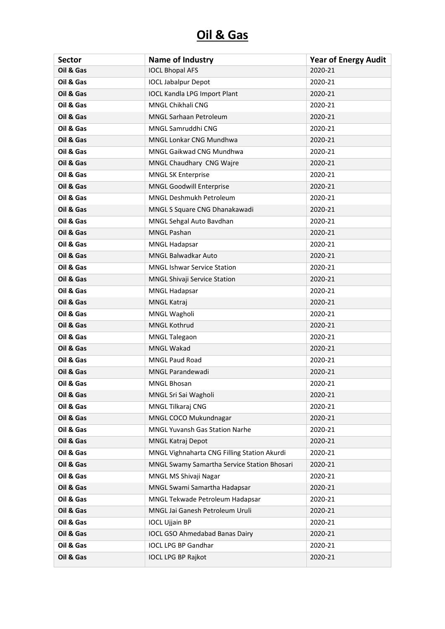| <b>Sector</b> | <b>Name of Industry</b>                     | <b>Year of Energy Audit</b> |
|---------------|---------------------------------------------|-----------------------------|
| Oil & Gas     | <b>IOCL Bhopal AFS</b>                      | 2020-21                     |
| Oil & Gas     | <b>IOCL Jabalpur Depot</b>                  | 2020-21                     |
| Oil & Gas     | <b>IOCL Kandla LPG Import Plant</b>         | 2020-21                     |
| Oil & Gas     | MNGL Chikhali CNG                           | 2020-21                     |
| Oil & Gas     | MNGL Sarhaan Petroleum                      | 2020-21                     |
| Oil & Gas     | MNGL Samruddhi CNG                          | 2020-21                     |
| Oil & Gas     | <b>MNGL Lonkar CNG Mundhwa</b>              | 2020-21                     |
| Oil & Gas     | MNGL Gaikwad CNG Mundhwa                    | 2020-21                     |
| Oil & Gas     | MNGL Chaudhary CNG Wajre                    | 2020-21                     |
| Oil & Gas     | <b>MNGL SK Enterprise</b>                   | 2020-21                     |
| Oil & Gas     | MNGL Goodwill Enterprise                    | 2020-21                     |
| Oil & Gas     | MNGL Deshmukh Petroleum                     | 2020-21                     |
| Oil & Gas     | MNGL S Square CNG Dhanakawadi               | 2020-21                     |
| Oil & Gas     | MNGL Sehgal Auto Bavdhan                    | 2020-21                     |
| Oil & Gas     | <b>MNGL Pashan</b>                          | 2020-21                     |
| Oil & Gas     | <b>MNGL Hadapsar</b>                        | 2020-21                     |
| Oil & Gas     | MNGL Balwadkar Auto                         | 2020-21                     |
| Oil & Gas     | <b>MNGL Ishwar Service Station</b>          | 2020-21                     |
| Oil & Gas     | MNGL Shivaji Service Station                | 2020-21                     |
| Oil & Gas     | MNGL Hadapsar                               | 2020-21                     |
| Oil & Gas     | MNGL Katraj                                 | 2020-21                     |
| Oil & Gas     | MNGL Wagholi                                | 2020-21                     |
| Oil & Gas     | MNGL Kothrud                                | 2020-21                     |
| Oil & Gas     | <b>MNGL Talegaon</b>                        | 2020-21                     |
| Oil & Gas     | <b>MNGL Wakad</b>                           | 2020-21                     |
| Oil & Gas     | <b>MNGL Paud Road</b>                       | 2020-21                     |
| Oil & Gas     | MNGL Parandewadi                            | 2020-21                     |
| Oil & Gas     | MNGL Bhosan                                 | 2020-21                     |
| Oil & Gas     | MNGL Sri Sai Wagholi                        | 2020-21                     |
| Oil & Gas     | MNGL Tilkaraj CNG                           | 2020-21                     |
| Oil & Gas     | MNGL COCO Mukundnagar                       | 2020-21                     |
| Oil & Gas     | MNGL Yuvansh Gas Station Narhe              | 2020-21                     |
| Oil & Gas     | MNGL Katraj Depot                           | 2020-21                     |
| Oil & Gas     | MNGL Vighnaharta CNG Filling Station Akurdi | 2020-21                     |
| Oil & Gas     | MNGL Swamy Samartha Service Station Bhosari | 2020-21                     |
| Oil & Gas     | MNGL MS Shivaji Nagar                       | 2020-21                     |
| Oil & Gas     | MNGL Swami Samartha Hadapsar                | 2020-21                     |
| Oil & Gas     | MNGL Tekwade Petroleum Hadapsar             | 2020-21                     |
| Oil & Gas     | MNGL Jai Ganesh Petroleum Uruli             | 2020-21                     |
| Oil & Gas     | <b>IOCL Ujjain BP</b>                       | 2020-21                     |
| Oil & Gas     | <b>IOCL GSO Ahmedabad Banas Dairy</b>       | 2020-21                     |
| Oil & Gas     | <b>IOCL LPG BP Gandhar</b>                  | 2020-21                     |
| Oil & Gas     | <b>IOCL LPG BP Rajkot</b>                   | 2020-21                     |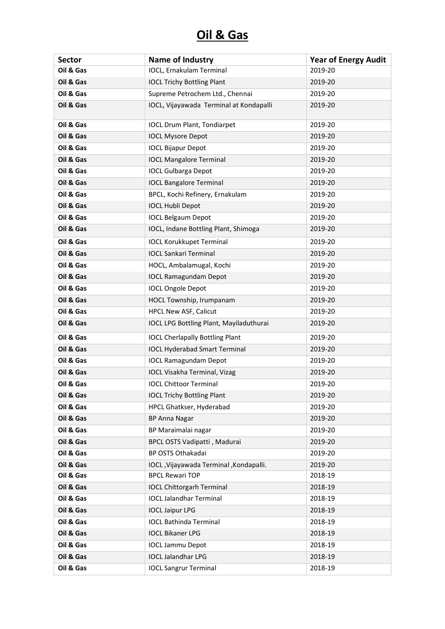| <b>Sector</b> | Name of Industry                        | <b>Year of Energy Audit</b> |
|---------------|-----------------------------------------|-----------------------------|
| Oil & Gas     | IOCL, Ernakulam Terminal                | 2019-20                     |
| Oil & Gas     | <b>IOCL Trichy Bottling Plant</b>       | 2019-20                     |
| Oil & Gas     | Supreme Petrochem Ltd., Chennai         | 2019-20                     |
| Oil & Gas     | IOCL, Vijayawada Terminal at Kondapalli | 2019-20                     |
| Oil & Gas     | <b>IOCL Drum Plant, Tondiarpet</b>      | 2019-20                     |
| Oil & Gas     | <b>IOCL Mysore Depot</b>                | 2019-20                     |
| Oil & Gas     | <b>IOCL Bijapur Depot</b>               | 2019-20                     |
| Oil & Gas     | <b>IOCL Mangalore Terminal</b>          | 2019-20                     |
| Oil & Gas     | <b>IOCL Gulbarga Depot</b>              | 2019-20                     |
| Oil & Gas     | <b>IOCL Bangalore Terminal</b>          | 2019-20                     |
| Oil & Gas     | BPCL, Kochi Refinery, Ernakulam         | 2019-20                     |
| Oil & Gas     | <b>IOCL Hubli Depot</b>                 | 2019-20                     |
| Oil & Gas     | <b>IOCL Belgaum Depot</b>               | 2019-20                     |
| Oil & Gas     | IOCL, Indane Bottling Plant, Shimoga    | 2019-20                     |
| Oil & Gas     | <b>IOCL Korukkupet Terminal</b>         | 2019-20                     |
| Oil & Gas     | <b>IOCL Sankari Terminal</b>            | 2019-20                     |
| Oil & Gas     | HOCL, Ambalamugal, Kochi                | 2019-20                     |
| Oil & Gas     | <b>IOCL Ramagundam Depot</b>            | 2019-20                     |
| Oil & Gas     | <b>IOCL Ongole Depot</b>                | 2019-20                     |
| Oil & Gas     | HOCL Township, Irumpanam                | 2019-20                     |
| Oil & Gas     | HPCL New ASF, Calicut                   | 2019-20                     |
| Oil & Gas     | IOCL LPG Bottling Plant, Mayiladuthurai | 2019-20                     |
| Oil & Gas     | <b>IOCL Cherlapally Bottling Plant</b>  | 2019-20                     |
| Oil & Gas     | <b>IOCL Hyderabad Smart Terminal</b>    | 2019-20                     |
| Oil & Gas     | <b>IOCL Ramagundam Depot</b>            | 2019-20                     |
| Oil & Gas     | <b>IOCL Visakha Terminal, Vizag</b>     | 2019-20                     |
| Oil & Gas     | <b>IOCL Chittoor Terminal</b>           | 2019-20                     |
| Oil & Gas     | <b>IOCL Trichy Bottling Plant</b>       | 2019-20                     |
| Oil & Gas     | HPCL Ghatkser, Hyderabad                | 2019-20                     |
| Oil & Gas     | <b>BP Anna Nagar</b>                    | 2019-20                     |
| Oil & Gas     | BP Maraimalai nagar                     | 2019-20                     |
| Oil & Gas     | BPCL OSTS Vadipatti, Madurai            | 2019-20                     |
| Oil & Gas     | BP OSTS Othakadai                       | 2019-20                     |
| Oil & Gas     | IOCL, Vijayawada Terminal, Kondapalli.  | 2019-20                     |
| Oil & Gas     | <b>BPCL Rewari TOP</b>                  | 2018-19                     |
| Oil & Gas     | <b>IOCL Chittorgarh Terminal</b>        | 2018-19                     |
| Oil & Gas     | <b>IOCL Jalandhar Terminal</b>          | 2018-19                     |
| Oil & Gas     | <b>IOCL Jaipur LPG</b>                  | 2018-19                     |
| Oil & Gas     | <b>IOCL Bathinda Terminal</b>           | 2018-19                     |
| Oil & Gas     | <b>IOCL Bikaner LPG</b>                 | 2018-19                     |
| Oil & Gas     | <b>IOCL Jammu Depot</b>                 | 2018-19                     |
| Oil & Gas     | <b>IOCL Jalandhar LPG</b>               | 2018-19                     |
| Oil & Gas     | <b>IOCL Sangrur Terminal</b>            | 2018-19                     |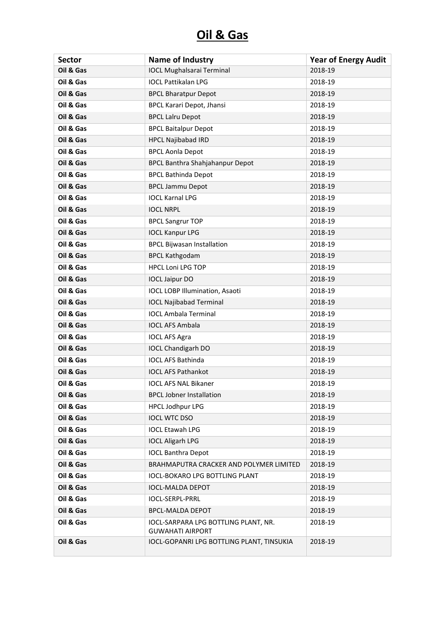| <b>Sector</b> | Name of Industry                                                | <b>Year of Energy Audit</b> |
|---------------|-----------------------------------------------------------------|-----------------------------|
| Oil & Gas     | <b>IOCL Mughalsarai Terminal</b>                                | 2018-19                     |
| Oil & Gas     | <b>IOCL Pattikalan LPG</b>                                      | 2018-19                     |
| Oil & Gas     | <b>BPCL Bharatpur Depot</b>                                     | 2018-19                     |
| Oil & Gas     | <b>BPCL Karari Depot, Jhansi</b>                                | 2018-19                     |
| Oil & Gas     | <b>BPCL Lalru Depot</b>                                         | 2018-19                     |
| Oil & Gas     | <b>BPCL Baitalpur Depot</b>                                     | 2018-19                     |
| Oil & Gas     | <b>HPCL Najibabad IRD</b>                                       | 2018-19                     |
| Oil & Gas     | <b>BPCL Aonla Depot</b>                                         | 2018-19                     |
| Oil & Gas     | <b>BPCL Banthra Shahjahanpur Depot</b>                          | 2018-19                     |
| Oil & Gas     | <b>BPCL Bathinda Depot</b>                                      | 2018-19                     |
| Oil & Gas     | <b>BPCL Jammu Depot</b>                                         | 2018-19                     |
| Oil & Gas     | <b>IOCL Karnal LPG</b>                                          | 2018-19                     |
| Oil & Gas     | <b>IOCL NRPL</b>                                                | 2018-19                     |
| Oil & Gas     | <b>BPCL Sangrur TOP</b>                                         | 2018-19                     |
| Oil & Gas     | <b>IOCL Kanpur LPG</b>                                          | 2018-19                     |
| Oil & Gas     | <b>BPCL Bijwasan Installation</b>                               | 2018-19                     |
| Oil & Gas     | <b>BPCL Kathgodam</b>                                           | 2018-19                     |
| Oil & Gas     | <b>HPCL Loni LPG TOP</b>                                        | 2018-19                     |
| Oil & Gas     | <b>IOCL Jaipur DO</b>                                           | 2018-19                     |
| Oil & Gas     | <b>IOCL LOBP Illumination, Asaoti</b>                           | 2018-19                     |
| Oil & Gas     | <b>IOCL Najibabad Terminal</b>                                  | 2018-19                     |
| Oil & Gas     | <b>IOCL Ambala Terminal</b>                                     | 2018-19                     |
| Oil & Gas     | <b>IOCL AFS Ambala</b>                                          | 2018-19                     |
| Oil & Gas     | <b>IOCL AFS Agra</b>                                            | 2018-19                     |
| Oil & Gas     | <b>IOCL Chandigarh DO</b>                                       | 2018-19                     |
| Oil & Gas     | <b>IOCL AFS Bathinda</b>                                        | 2018-19                     |
| Oil & Gas     | <b>IOCL AFS Pathankot</b>                                       | 2018-19                     |
| Oil & Gas     | <b>IOCL AFS NAL Bikaner</b>                                     | 2018-19                     |
| Oil & Gas     | <b>BPCL Jobner Installation</b>                                 | 2018-19                     |
| Oil & Gas     | <b>HPCL Jodhpur LPG</b>                                         | 2018-19                     |
| Oil & Gas     | <b>IOCL WTC DSO</b>                                             | 2018-19                     |
| Oil & Gas     | <b>IOCL Etawah LPG</b>                                          | 2018-19                     |
| Oil & Gas     | <b>IOCL Aligarh LPG</b>                                         | 2018-19                     |
| Oil & Gas     | <b>IOCL Banthra Depot</b>                                       | 2018-19                     |
| Oil & Gas     | BRAHMAPUTRA CRACKER AND POLYMER LIMITED                         | 2018-19                     |
| Oil & Gas     | <b>IOCL-BOKARO LPG BOTTLING PLANT</b>                           | 2018-19                     |
| Oil & Gas     | <b>IOCL-MALDA DEPOT</b>                                         | 2018-19                     |
| Oil & Gas     | <b>IOCL-SERPL-PRRL</b>                                          | 2018-19                     |
| Oil & Gas     | <b>BPCL-MALDA DEPOT</b>                                         | 2018-19                     |
| Oil & Gas     | IOCL-SARPARA LPG BOTTLING PLANT, NR.<br><b>GUWAHATI AIRPORT</b> | 2018-19                     |
| Oil & Gas     | IOCL-GOPANRI LPG BOTTLING PLANT, TINSUKIA                       | 2018-19                     |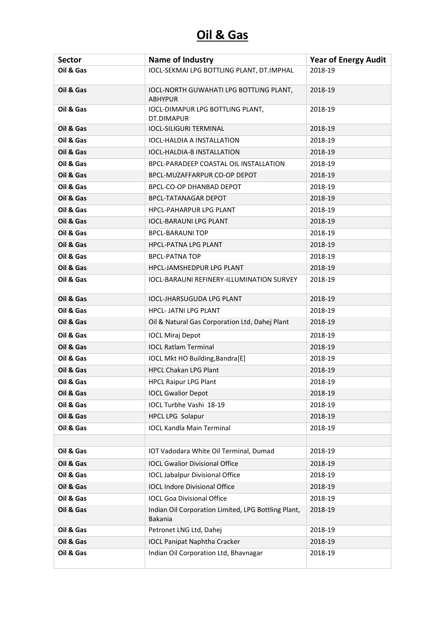| <b>Sector</b> | <b>Name of Industry</b>                                        | <b>Year of Energy Audit</b> |
|---------------|----------------------------------------------------------------|-----------------------------|
| Oil & Gas     | IOCL-SEKMAI LPG BOTTLING PLANT, DT.IMPHAL                      | 2018-19                     |
| Oil & Gas     | IOCL-NORTH GUWAHATI LPG BOTTLING PLANT,<br><b>ABHYPUR</b>      | 2018-19                     |
| Oil & Gas     | IOCL-DIMAPUR LPG BOTTLING PLANT,<br>DT.DIMAPUR                 | 2018-19                     |
| Oil & Gas     | <b>IOCL-SILIGURI TERMINAL</b>                                  | 2018-19                     |
| Oil & Gas     | IOCL-HALDIA A INSTALLATION                                     | 2018-19                     |
| Oil & Gas     | <b>IOCL-HALDIA-B INSTALLATION</b>                              | 2018-19                     |
| Oil & Gas     | BPCL-PARADEEP COASTAL OIL INSTALLATION                         | 2018-19                     |
| Oil & Gas     | BPCL-MUZAFFARPUR CO-OP DEPOT                                   | 2018-19                     |
| Oil & Gas     | BPCL-CO-OP DHANBAD DEPOT                                       | 2018-19                     |
| Oil & Gas     | <b>BPCL-TATANAGAR DEPOT</b>                                    | 2018-19                     |
| Oil & Gas     | <b>HPCL-PAHARPUR LPG PLANT</b>                                 | 2018-19                     |
| Oil & Gas     | <b>IOCL-BARAUNI LPG PLANT</b>                                  | 2018-19                     |
| Oil & Gas     | <b>BPCL-BARAUNI TOP</b>                                        | 2018-19                     |
| Oil & Gas     | <b>HPCL-PATNA LPG PLANT</b>                                    | 2018-19                     |
| Oil & Gas     | <b>BPCL-PATNA TOP</b>                                          | 2018-19                     |
| Oil & Gas     | HPCL-JAMSHEDPUR LPG PLANT                                      | 2018-19                     |
| Oil & Gas     | <b>IOCL-BARAUNI REFINERY-ILLUMINATION SURVEY</b>               | 2018-19                     |
| Oil & Gas     | <b>IOCL-JHARSUGUDA LPG PLANT</b>                               | 2018-19                     |
| Oil & Gas     | <b>HPCL-JATNI LPG PLANT</b>                                    | 2018-19                     |
| Oil & Gas     | Oil & Natural Gas Corporation Ltd, Dahej Plant                 | 2018-19                     |
| Oil & Gas     | <b>IOCL Miraj Depot</b>                                        | 2018-19                     |
| Oil & Gas     | <b>IOCL Ratlam Terminal</b>                                    | 2018-19                     |
| Oil & Gas     | IOCL Mkt HO Building, Bandra [E]                               | 2018-19                     |
| Oil & Gas     | <b>HPCL Chakan LPG Plant</b>                                   | 2018-19                     |
| Oil & Gas     | <b>HPCL Raipur LPG Plant</b>                                   | 2018-19                     |
| Oil & Gas     | <b>IOCL Gwalior Depot</b>                                      | 2018-19                     |
| Oil & Gas     | IOCL Turbhe Vashi 18-19                                        | 2018-19                     |
| Oil & Gas     | HPCL LPG Solapur                                               | 2018-19                     |
| Oil & Gas     | <b>IOCL Kandla Main Terminal</b>                               | 2018-19                     |
| Oil & Gas     | IOT Vadodara White Oil Terminal, Dumad                         | 2018-19                     |
| Oil & Gas     | <b>IOCL Gwalior Divisional Office</b>                          | 2018-19                     |
| Oil & Gas     | <b>IOCL Jabalpur Divisional Office</b>                         |                             |
| Oil & Gas     | <b>IOCL Indore Divisional Office</b>                           | 2018-19<br>2018-19          |
|               |                                                                |                             |
| Oil & Gas     | <b>IOCL Goa Divisional Office</b>                              | 2018-19                     |
| Oil & Gas     | Indian Oil Corporation Limited, LPG Bottling Plant,<br>Bakania | 2018-19                     |
| Oil & Gas     | Petronet LNG Ltd, Dahej                                        | 2018-19                     |
| Oil & Gas     | <b>IOCL Panipat Naphtha Cracker</b>                            | 2018-19                     |
| Oil & Gas     | Indian Oil Corporation Ltd, Bhavnagar                          | 2018-19                     |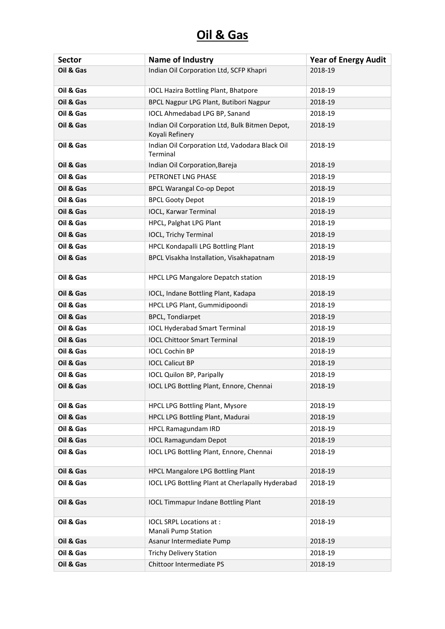| <b>Sector</b> | Name of Industry                                                  | <b>Year of Energy Audit</b> |
|---------------|-------------------------------------------------------------------|-----------------------------|
| Oil & Gas     | Indian Oil Corporation Ltd, SCFP Khapri                           | 2018-19                     |
| Oil & Gas     | <b>IOCL Hazira Bottling Plant, Bhatpore</b>                       | 2018-19                     |
| Oil & Gas     | BPCL Nagpur LPG Plant, Butibori Nagpur                            | 2018-19                     |
| Oil & Gas     | <b>IOCL Ahmedabad LPG BP, Sanand</b>                              | 2018-19                     |
| Oil & Gas     | Indian Oil Corporation Ltd, Bulk Bitmen Depot,<br>Koyali Refinery | 2018-19                     |
| Oil & Gas     | Indian Oil Corporation Ltd, Vadodara Black Oil<br>Terminal        | 2018-19                     |
| Oil & Gas     | Indian Oil Corporation, Bareja                                    | 2018-19                     |
| Oil & Gas     | PETRONET LNG PHASE                                                | 2018-19                     |
| Oil & Gas     | <b>BPCL Warangal Co-op Depot</b>                                  | 2018-19                     |
| Oil & Gas     | <b>BPCL Gooty Depot</b>                                           | 2018-19                     |
| Oil & Gas     | <b>IOCL, Karwar Terminal</b>                                      | 2018-19                     |
| Oil & Gas     | HPCL, Palghat LPG Plant                                           | 2018-19                     |
| Oil & Gas     | <b>IOCL, Trichy Terminal</b>                                      | 2018-19                     |
| Oil & Gas     | HPCL Kondapalli LPG Bottling Plant                                | 2018-19                     |
| Oil & Gas     | BPCL Visakha Installation, Visakhapatnam                          | 2018-19                     |
| Oil & Gas     | HPCL LPG Mangalore Depatch station                                | 2018-19                     |
| Oil & Gas     | IOCL, Indane Bottling Plant, Kadapa                               | 2018-19                     |
| Oil & Gas     | HPCL LPG Plant, Gummidipoondi                                     | 2018-19                     |
| Oil & Gas     | <b>BPCL, Tondiarpet</b>                                           | 2018-19                     |
| Oil & Gas     | <b>IOCL Hyderabad Smart Terminal</b>                              | 2018-19                     |
| Oil & Gas     | <b>IOCL Chittoor Smart Terminal</b>                               | 2018-19                     |
| Oil & Gas     | <b>IOCL Cochin BP</b>                                             | 2018-19                     |
| Oil & Gas     | <b>IOCL Calicut BP</b>                                            | 2018-19                     |
| Oil & Gas     | <b>IOCL Quilon BP, Paripally</b>                                  | 2018-19                     |
| Oil & Gas     | IOCL LPG Bottling Plant, Ennore, Chennai                          | 2018-19                     |
| Oil & Gas     | <b>HPCL LPG Bottling Plant, Mysore</b>                            | 2018-19                     |
| Oil & Gas     | HPCL LPG Bottling Plant, Madurai                                  | 2018-19                     |
| Oil & Gas     | <b>HPCL Ramagundam IRD</b>                                        | 2018-19                     |
| Oil & Gas     | <b>IOCL Ramagundam Depot</b>                                      | 2018-19                     |
| Oil & Gas     | IOCL LPG Bottling Plant, Ennore, Chennai                          | 2018-19                     |
| Oil & Gas     | <b>HPCL Mangalore LPG Bottling Plant</b>                          | 2018-19                     |
| Oil & Gas     | <b>IOCL LPG Bottling Plant at Cherlapally Hyderabad</b>           | 2018-19                     |
| Oil & Gas     | <b>IOCL Timmapur Indane Bottling Plant</b>                        | 2018-19                     |
| Oil & Gas     | IOCL SRPL Locations at :                                          | 2018-19                     |
|               | Manali Pump Station                                               |                             |
| Oil & Gas     | Asanur Intermediate Pump                                          | 2018-19                     |
| Oil & Gas     | <b>Trichy Delivery Station</b>                                    | 2018-19                     |
| Oil & Gas     | Chittoor Intermediate PS                                          | 2018-19                     |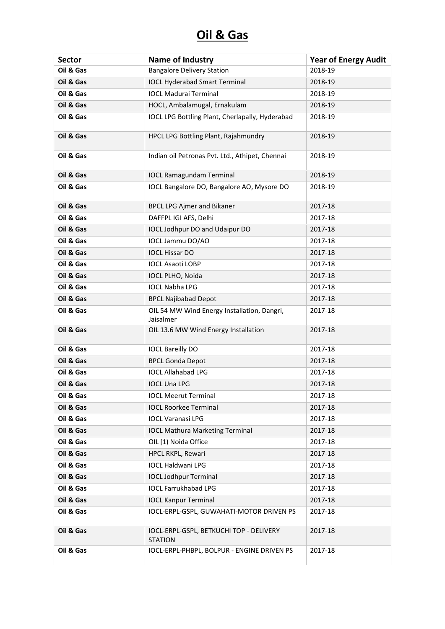| <b>Sector</b> | Name of Industry                                          | <b>Year of Energy Audit</b> |
|---------------|-----------------------------------------------------------|-----------------------------|
| Oil & Gas     | <b>Bangalore Delivery Station</b>                         | 2018-19                     |
| Oil & Gas     | <b>IOCL Hyderabad Smart Terminal</b>                      | 2018-19                     |
| Oil & Gas     | <b>IOCL Madurai Terminal</b>                              | 2018-19                     |
| Oil & Gas     | HOCL, Ambalamugal, Ernakulam                              | 2018-19                     |
| Oil & Gas     | IOCL LPG Bottling Plant, Cherlapally, Hyderabad           | 2018-19                     |
| Oil & Gas     | HPCL LPG Bottling Plant, Rajahmundry                      | 2018-19                     |
| Oil & Gas     | Indian oil Petronas Pvt. Ltd., Athipet, Chennai           | 2018-19                     |
| Oil & Gas     | <b>IOCL Ramagundam Terminal</b>                           | 2018-19                     |
| Oil & Gas     | IOCL Bangalore DO, Bangalore AO, Mysore DO                | 2018-19                     |
| Oil & Gas     | <b>BPCL LPG Ajmer and Bikaner</b>                         | 2017-18                     |
| Oil & Gas     | DAFFPL IGI AFS, Delhi                                     | 2017-18                     |
| Oil & Gas     | IOCL Jodhpur DO and Udaipur DO                            | 2017-18                     |
| Oil & Gas     | IOCL Jammu DO/AO                                          | 2017-18                     |
| Oil & Gas     | <b>IOCL Hissar DO</b>                                     | 2017-18                     |
| Oil & Gas     | <b>IOCL Asaoti LOBP</b>                                   | 2017-18                     |
| Oil & Gas     | IOCL PLHO, Noida                                          | 2017-18                     |
| Oil & Gas     | <b>IOCL Nabha LPG</b>                                     | 2017-18                     |
| Oil & Gas     | <b>BPCL Najibabad Depot</b>                               | 2017-18                     |
| Oil & Gas     | OIL 54 MW Wind Energy Installation, Dangri,<br>Jaisalmer  | 2017-18                     |
| Oil & Gas     | OIL 13.6 MW Wind Energy Installation                      | 2017-18                     |
| Oil & Gas     | <b>IOCL Bareilly DO</b>                                   | 2017-18                     |
| Oil & Gas     | <b>BPCL Gonda Depot</b>                                   | 2017-18                     |
| Oil & Gas     | <b>IOCL Allahabad LPG</b>                                 | 2017-18                     |
| Oil & Gas     | <b>IOCL Una LPG</b>                                       | 2017-18                     |
| Oil & Gas     | <b>IOCL Meerut Terminal</b>                               | 2017-18                     |
| Oil & Gas     | <b>IOCL Roorkee Terminal</b>                              | 2017-18                     |
| Oil & Gas     | <b>IOCL Varanasi LPG</b>                                  | 2017-18                     |
| Oil & Gas     | <b>IOCL Mathura Marketing Terminal</b>                    | 2017-18                     |
| Oil & Gas     | OIL [1) Noida Office                                      | 2017-18                     |
| Oil & Gas     | HPCL RKPL, Rewari                                         | 2017-18                     |
| Oil & Gas     | <b>IOCL Haldwani LPG</b>                                  | 2017-18                     |
| Oil & Gas     | <b>IOCL Jodhpur Terminal</b>                              | 2017-18                     |
| Oil & Gas     | <b>IOCL Farrukhabad LPG</b>                               | 2017-18                     |
| Oil & Gas     | <b>IOCL Kanpur Terminal</b>                               | 2017-18                     |
| Oil & Gas     | IOCL-ERPL-GSPL, GUWAHATI-MOTOR DRIVEN PS                  | 2017-18                     |
| Oil & Gas     | IOCL-ERPL-GSPL, BETKUCHI TOP - DELIVERY<br><b>STATION</b> | 2017-18                     |
| Oil & Gas     | IOCL-ERPL-PHBPL, BOLPUR - ENGINE DRIVEN PS                | 2017-18                     |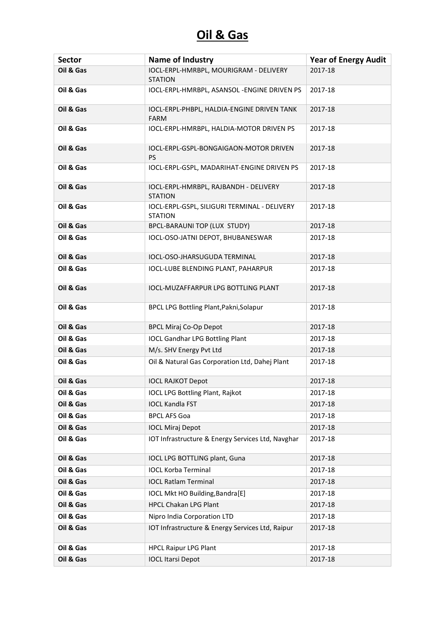| <b>Sector</b> | <b>Name of Industry</b>                                        | <b>Year of Energy Audit</b> |
|---------------|----------------------------------------------------------------|-----------------------------|
| Oil & Gas     | IOCL-ERPL-HMRBPL, MOURIGRAM - DELIVERY<br><b>STATION</b>       | 2017-18                     |
| Oil & Gas     | IOCL-ERPL-HMRBPL, ASANSOL - ENGINE DRIVEN PS                   | 2017-18                     |
| Oil & Gas     | IOCL-ERPL-PHBPL, HALDIA-ENGINE DRIVEN TANK<br><b>FARM</b>      | 2017-18                     |
| Oil & Gas     | IOCL-ERPL-HMRBPL, HALDIA-MOTOR DRIVEN PS                       | 2017-18                     |
| Oil & Gas     | IOCL-ERPL-GSPL-BONGAIGAON-MOTOR DRIVEN<br>PS                   | 2017-18                     |
| Oil & Gas     | IOCL-ERPL-GSPL, MADARIHAT-ENGINE DRIVEN PS                     | 2017-18                     |
| Oil & Gas     | IOCL-ERPL-HMRBPL, RAJBANDH - DELIVERY<br><b>STATION</b>        | 2017-18                     |
| Oil & Gas     | IOCL-ERPL-GSPL, SILIGURI TERMINAL - DELIVERY<br><b>STATION</b> | 2017-18                     |
| Oil & Gas     | BPCL-BARAUNI TOP (LUX STUDY)                                   | 2017-18                     |
| Oil & Gas     | IOCL-OSO-JATNI DEPOT, BHUBANESWAR                              | 2017-18                     |
| Oil & Gas     | IOCL-OSO-JHARSUGUDA TERMINAL                                   | 2017-18                     |
| Oil & Gas     | IOCL-LUBE BLENDING PLANT, PAHARPUR                             | 2017-18                     |
| Oil & Gas     | IOCL-MUZAFFARPUR LPG BOTTLING PLANT                            | 2017-18                     |
| Oil & Gas     | BPCL LPG Bottling Plant, Pakni, Solapur                        | 2017-18                     |
| Oil & Gas     | <b>BPCL Miraj Co-Op Depot</b>                                  | 2017-18                     |
| Oil & Gas     | <b>IOCL Gandhar LPG Bottling Plant</b>                         | 2017-18                     |
| Oil & Gas     | M/s. SHV Energy Pvt Ltd                                        | 2017-18                     |
| Oil & Gas     | Oil & Natural Gas Corporation Ltd, Dahej Plant                 | 2017-18                     |
| Oil & Gas     | <b>IOCL RAJKOT Depot</b>                                       | 2017-18                     |
| Oil & Gas     | <b>IOCL LPG Bottling Plant, Rajkot</b>                         | 2017-18                     |
| Oil & Gas     | <b>IOCL Kandla FST</b>                                         | 2017-18                     |
| Oil & Gas     | <b>BPCL AFS Goa</b>                                            | 2017-18                     |
| Oil & Gas     | <b>IOCL Miraj Depot</b>                                        | 2017-18                     |
| Oil & Gas     | IOT Infrastructure & Energy Services Ltd, Navghar              | 2017-18                     |
| Oil & Gas     | IOCL LPG BOTTLING plant, Guna                                  | 2017-18                     |
| Oil & Gas     | <b>IOCL Korba Terminal</b>                                     | 2017-18                     |
| Oil & Gas     | <b>IOCL Ratlam Terminal</b>                                    | 2017-18                     |
| Oil & Gas     | IOCL Mkt HO Building, Bandra[E]                                | 2017-18                     |
| Oil & Gas     | <b>HPCL Chakan LPG Plant</b>                                   | 2017-18                     |
| Oil & Gas     | Nipro India Corporation LTD                                    | 2017-18                     |
| Oil & Gas     | IOT Infrastructure & Energy Services Ltd, Raipur               | 2017-18                     |
| Oil & Gas     | <b>HPCL Raipur LPG Plant</b>                                   | 2017-18                     |
| Oil & Gas     | <b>IOCL Itarsi Depot</b>                                       | 2017-18                     |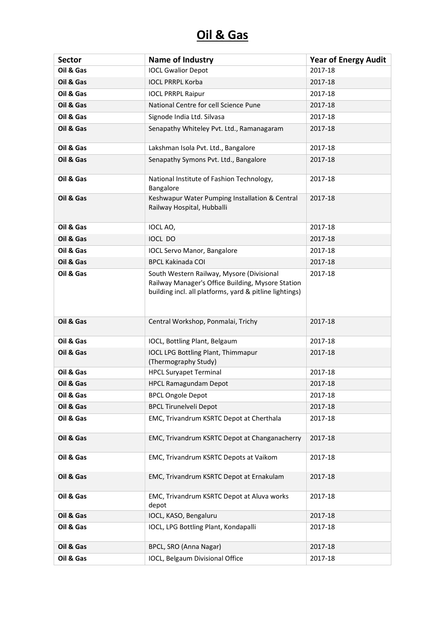| <b>Sector</b> | <b>Name of Industry</b>                                                                                                                                   | <b>Year of Energy Audit</b> |
|---------------|-----------------------------------------------------------------------------------------------------------------------------------------------------------|-----------------------------|
| Oil & Gas     | <b>IOCL Gwalior Depot</b>                                                                                                                                 | 2017-18                     |
| Oil & Gas     | <b>IOCL PRRPL Korba</b>                                                                                                                                   | 2017-18                     |
| Oil & Gas     | <b>IOCL PRRPL Raipur</b>                                                                                                                                  | 2017-18                     |
| Oil & Gas     | National Centre for cell Science Pune                                                                                                                     | 2017-18                     |
| Oil & Gas     | Signode India Ltd. Silvasa                                                                                                                                | 2017-18                     |
| Oil & Gas     | Senapathy Whiteley Pvt. Ltd., Ramanagaram                                                                                                                 | 2017-18                     |
| Oil & Gas     | Lakshman Isola Pvt. Ltd., Bangalore                                                                                                                       | 2017-18                     |
| Oil & Gas     | Senapathy Symons Pvt. Ltd., Bangalore                                                                                                                     | 2017-18                     |
| Oil & Gas     | National Institute of Fashion Technology,<br>Bangalore                                                                                                    | 2017-18                     |
| Oil & Gas     | Keshwapur Water Pumping Installation & Central<br>Railway Hospital, Hubballi                                                                              | 2017-18                     |
| Oil & Gas     | IOCL AO,                                                                                                                                                  | 2017-18                     |
| Oil & Gas     | <b>IOCL DO</b>                                                                                                                                            | 2017-18                     |
| Oil & Gas     | <b>IOCL Servo Manor, Bangalore</b>                                                                                                                        | 2017-18                     |
| Oil & Gas     | <b>BPCL Kakinada COI</b>                                                                                                                                  | 2017-18                     |
| Oil & Gas     | South Western Railway, Mysore (Divisional<br>Railway Manager's Office Building, Mysore Station<br>building incl. all platforms, yard & pitline lightings) | 2017-18                     |
| Oil & Gas     | Central Workshop, Ponmalai, Trichy                                                                                                                        | 2017-18                     |
| Oil & Gas     | IOCL, Bottling Plant, Belgaum                                                                                                                             | 2017-18                     |
| Oil & Gas     | <b>IOCL LPG Bottling Plant, Thimmapur</b><br>(Thermography Study)                                                                                         | 2017-18                     |
| Oil & Gas     | <b>HPCL Suryapet Terminal</b>                                                                                                                             | 2017-18                     |
| Oil & Gas     | <b>HPCL Ramagundam Depot</b>                                                                                                                              | 2017-18                     |
| Oil & Gas     | <b>BPCL Ongole Depot</b>                                                                                                                                  | 2017-18                     |
| Oil & Gas     | <b>BPCL Tirunelveli Depot</b>                                                                                                                             | 2017-18                     |
| Oil & Gas     | EMC, Trivandrum KSRTC Depot at Cherthala                                                                                                                  | 2017-18                     |
| Oil & Gas     | EMC, Trivandrum KSRTC Depot at Changanacherry                                                                                                             | 2017-18                     |
| Oil & Gas     | EMC, Trivandrum KSRTC Depots at Vaikom                                                                                                                    | 2017-18                     |
| Oil & Gas     | EMC, Trivandrum KSRTC Depot at Ernakulam                                                                                                                  | 2017-18                     |
| Oil & Gas     | EMC, Trivandrum KSRTC Depot at Aluva works<br>depot                                                                                                       | 2017-18                     |
| Oil & Gas     | IOCL, KASO, Bengaluru                                                                                                                                     | 2017-18                     |
| Oil & Gas     | IOCL, LPG Bottling Plant, Kondapalli                                                                                                                      | 2017-18                     |
| Oil & Gas     | BPCL, SRO (Anna Nagar)                                                                                                                                    | 2017-18                     |
| Oil & Gas     | IOCL, Belgaum Divisional Office                                                                                                                           | 2017-18                     |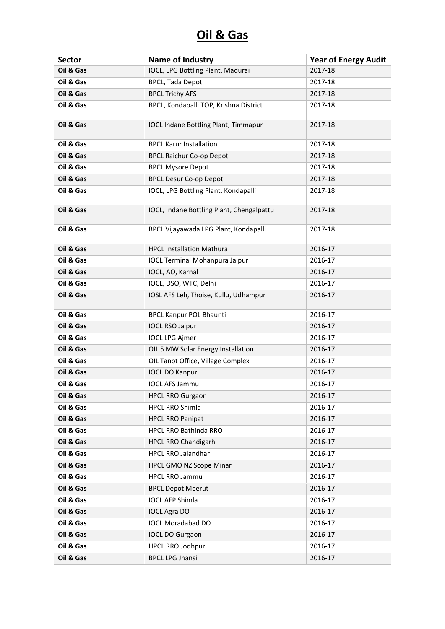| <b>Sector</b> | Name of Industry                            | <b>Year of Energy Audit</b> |
|---------------|---------------------------------------------|-----------------------------|
| Oil & Gas     | IOCL, LPG Bottling Plant, Madurai           | 2017-18                     |
| Oil & Gas     | <b>BPCL, Tada Depot</b>                     | 2017-18                     |
| Oil & Gas     | <b>BPCL Trichy AFS</b>                      | 2017-18                     |
| Oil & Gas     | BPCL, Kondapalli TOP, Krishna District      | 2017-18                     |
| Oil & Gas     | <b>IOCL Indane Bottling Plant, Timmapur</b> | 2017-18                     |
| Oil & Gas     | <b>BPCL Karur Installation</b>              | 2017-18                     |
| Oil & Gas     | <b>BPCL Raichur Co-op Depot</b>             | 2017-18                     |
| Oil & Gas     | <b>BPCL Mysore Depot</b>                    | 2017-18                     |
| Oil & Gas     | <b>BPCL Desur Co-op Depot</b>               | 2017-18                     |
| Oil & Gas     | IOCL, LPG Bottling Plant, Kondapalli        | 2017-18                     |
| Oil & Gas     | IOCL, Indane Bottling Plant, Chengalpattu   | 2017-18                     |
| Oil & Gas     | BPCL Vijayawada LPG Plant, Kondapalli       | 2017-18                     |
| Oil & Gas     | <b>HPCL Installation Mathura</b>            | 2016-17                     |
| Oil & Gas     | <b>IOCL Terminal Mohanpura Jaipur</b>       | 2016-17                     |
| Oil & Gas     | IOCL, AO, Karnal                            | 2016-17                     |
| Oil & Gas     | IOCL, DSO, WTC, Delhi                       | 2016-17                     |
| Oil & Gas     | IOSL AFS Leh, Thoise, Kullu, Udhampur       | 2016-17                     |
| Oil & Gas     | <b>BPCL Kanpur POL Bhaunti</b>              | 2016-17                     |
| Oil & Gas     | <b>IOCL RSO Jaipur</b>                      | 2016-17                     |
| Oil & Gas     | <b>IOCL LPG Ajmer</b>                       | 2016-17                     |
| Oil & Gas     | OIL 5 MW Solar Energy Installation          | 2016-17                     |
| Oil & Gas     | OIL Tanot Office, Village Complex           | 2016-17                     |
| Oil & Gas     | <b>IOCL DO Kanpur</b>                       | 2016-17                     |
| Oil & Gas     | <b>IOCL AFS Jammu</b>                       | 2016-17                     |
| Oil & Gas     | <b>HPCL RRO Gurgaon</b>                     | 2016-17                     |
| Oil & Gas     | HPCL RRO Shimla                             | 2016-17                     |
| Oil & Gas     | <b>HPCL RRO Panipat</b>                     | 2016-17                     |
| Oil & Gas     | HPCL RRO Bathinda RRO                       | 2016-17                     |
| Oil & Gas     | HPCL RRO Chandigarh                         | 2016-17                     |
| Oil & Gas     | <b>HPCL RRO Jalandhar</b>                   | 2016-17                     |
| Oil & Gas     | HPCL GMO NZ Scope Minar                     | 2016-17                     |
| Oil & Gas     | <b>HPCL RRO Jammu</b>                       | 2016-17                     |
| Oil & Gas     | <b>BPCL Depot Meerut</b>                    | 2016-17                     |
| Oil & Gas     | <b>IOCL AFP Shimla</b>                      | 2016-17                     |
| Oil & Gas     | <b>IOCL Agra DO</b>                         | 2016-17                     |
| Oil & Gas     | <b>IOCL Moradabad DO</b>                    | 2016-17                     |
| Oil & Gas     | <b>IOCL DO Gurgaon</b>                      | 2016-17                     |
| Oil & Gas     | <b>HPCL RRO Jodhpur</b>                     | 2016-17                     |
| Oil & Gas     | <b>BPCL LPG Jhansi</b>                      | 2016-17                     |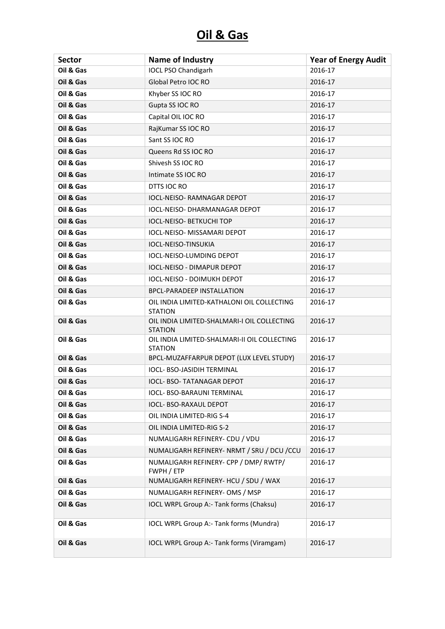| <b>Sector</b> | Name of Industry                                               | <b>Year of Energy Audit</b> |
|---------------|----------------------------------------------------------------|-----------------------------|
| Oil & Gas     | <b>IOCL PSO Chandigarh</b>                                     | 2016-17                     |
| Oil & Gas     | Global Petro IOC RO                                            | 2016-17                     |
| Oil & Gas     | Khyber SS IOC RO                                               | 2016-17                     |
| Oil & Gas     | Gupta SS IOC RO                                                | 2016-17                     |
| Oil & Gas     | Capital OIL IOC RO                                             | 2016-17                     |
| Oil & Gas     | RajKumar SS IOC RO                                             | 2016-17                     |
| Oil & Gas     | Sant SS IOC RO                                                 | 2016-17                     |
| Oil & Gas     | Queens Rd SS IOC RO                                            | 2016-17                     |
| Oil & Gas     | Shivesh SS IOC RO                                              | 2016-17                     |
| Oil & Gas     | Intimate SS IOC RO                                             | 2016-17                     |
| Oil & Gas     | DTTS IOC RO                                                    | 2016-17                     |
| Oil & Gas     | IOCL-NEISO- RAMNAGAR DEPOT                                     | 2016-17                     |
| Oil & Gas     | <b>IOCL-NEISO- DHARMANAGAR DEPOT</b>                           | 2016-17                     |
| Oil & Gas     | <b>IOCL-NEISO- BETKUCHI TOP</b>                                | 2016-17                     |
| Oil & Gas     | <b>IOCL-NEISO- MISSAMARI DEPOT</b>                             | 2016-17                     |
| Oil & Gas     | IOCL-NEISO-TINSUKIA                                            | 2016-17                     |
| Oil & Gas     | <b>IOCL-NEISO-LUMDING DEPOT</b>                                | 2016-17                     |
| Oil & Gas     | <b>IOCL-NEISO - DIMAPUR DEPOT</b>                              | 2016-17                     |
| Oil & Gas     | <b>IOCL-NEISO - DOIMUKH DEPOT</b>                              | 2016-17                     |
| Oil & Gas     | <b>BPCL-PARADEEP INSTALLATION</b>                              | 2016-17                     |
| Oil & Gas     | OIL INDIA LIMITED-KATHALONI OIL COLLECTING<br><b>STATION</b>   | 2016-17                     |
| Oil & Gas     | OIL INDIA LIMITED-SHALMARI-I OIL COLLECTING<br><b>STATION</b>  | 2016-17                     |
| Oil & Gas     | OIL INDIA LIMITED-SHALMARI-II OIL COLLECTING<br><b>STATION</b> | 2016-17                     |
| Oil & Gas     | BPCL-MUZAFFARPUR DEPOT (LUX LEVEL STUDY)                       | 2016-17                     |
| Oil & Gas     | IOCL- BSO-JASIDIH TERMINAL                                     | 2016-17                     |
| Oil & Gas     | <b>IOCL- BSO-TATANAGAR DEPOT</b>                               | 2016-17                     |
| Oil & Gas     | IOCL- BSO-BARAUNI TERMINAL                                     | 2016-17                     |
| Oil & Gas     | <b>IOCL- BSO-RAXAUL DEPOT</b>                                  | 2016-17                     |
| Oil & Gas     | OIL INDIA LIMITED-RIG S-4                                      | 2016-17                     |
| Oil & Gas     | OIL INDIA LIMITED-RIG S-2                                      | 2016-17                     |
| Oil & Gas     | NUMALIGARH REFINERY- CDU / VDU                                 | 2016-17                     |
| Oil & Gas     | NUMALIGARH REFINERY- NRMT / SRU / DCU / CCU                    | 2016-17                     |
| Oil & Gas     | NUMALIGARH REFINERY- CPP / DMP/ RWTP/<br>FWPH / ETP            | 2016-17                     |
| Oil & Gas     | NUMALIGARH REFINERY- HCU / SDU / WAX                           | 2016-17                     |
| Oil & Gas     | NUMALIGARH REFINERY- OMS / MSP                                 | 2016-17                     |
| Oil & Gas     | IOCL WRPL Group A:- Tank forms (Chaksu)                        | 2016-17                     |
| Oil & Gas     | IOCL WRPL Group A:- Tank forms (Mundra)                        | 2016-17                     |
| Oil & Gas     | IOCL WRPL Group A:- Tank forms (Viramgam)                      | 2016-17                     |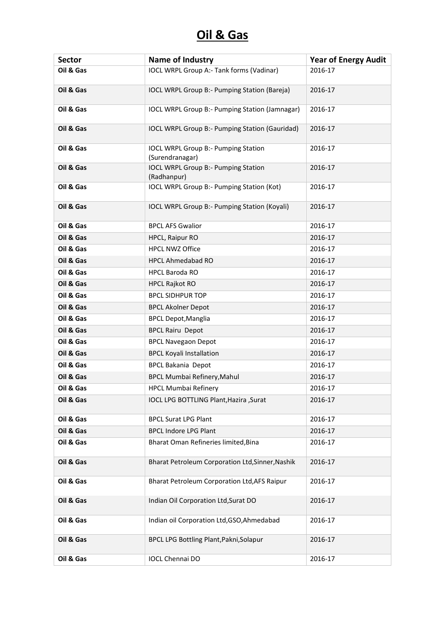| <b>Sector</b> | Name of Industry                                              | <b>Year of Energy Audit</b> |
|---------------|---------------------------------------------------------------|-----------------------------|
| Oil & Gas     | IOCL WRPL Group A:- Tank forms (Vadinar)                      | 2016-17                     |
| Oil & Gas     | IOCL WRPL Group B:- Pumping Station (Bareja)                  | 2016-17                     |
| Oil & Gas     | IOCL WRPL Group B:- Pumping Station (Jamnagar)                | 2016-17                     |
| Oil & Gas     | IOCL WRPL Group B:- Pumping Station (Gauridad)                | 2016-17                     |
| Oil & Gas     | <b>IOCL WRPL Group B:- Pumping Station</b><br>(Surendranagar) | 2016-17                     |
| Oil & Gas     | <b>IOCL WRPL Group B:- Pumping Station</b><br>(Radhanpur)     | 2016-17                     |
| Oil & Gas     | IOCL WRPL Group B:- Pumping Station (Kot)                     | 2016-17                     |
| Oil & Gas     | IOCL WRPL Group B:- Pumping Station (Koyali)                  | 2016-17                     |
| Oil & Gas     | <b>BPCL AFS Gwalior</b>                                       | 2016-17                     |
| Oil & Gas     | HPCL, Raipur RO                                               | 2016-17                     |
| Oil & Gas     | <b>HPCL NWZ Office</b>                                        | 2016-17                     |
| Oil & Gas     | <b>HPCL Ahmedabad RO</b>                                      | 2016-17                     |
| Oil & Gas     | <b>HPCL Baroda RO</b>                                         | 2016-17                     |
| Oil & Gas     | <b>HPCL Rajkot RO</b>                                         | 2016-17                     |
| Oil & Gas     | <b>BPCL SIDHPUR TOP</b>                                       | 2016-17                     |
| Oil & Gas     | <b>BPCL Akolner Depot</b>                                     | 2016-17                     |
| Oil & Gas     | <b>BPCL Depot, Manglia</b>                                    | 2016-17                     |
| Oil & Gas     | <b>BPCL Rairu Depot</b>                                       | 2016-17                     |
| Oil & Gas     | <b>BPCL Navegaon Depot</b>                                    | 2016-17                     |
| Oil & Gas     | <b>BPCL Koyali Installation</b>                               | 2016-17                     |
| Oil & Gas     | <b>BPCL Bakania Depot</b>                                     | 2016-17                     |
| Oil & Gas     | BPCL Mumbai Refinery, Mahul                                   | 2016-17                     |
| Oil & Gas     | <b>HPCL Mumbai Refinery</b>                                   | 2016-17                     |
| Oil & Gas     | IOCL LPG BOTTLING Plant, Hazira, Surat                        | 2016-17                     |
| Oil & Gas     | <b>BPCL Surat LPG Plant</b>                                   | 2016-17                     |
| Oil & Gas     | <b>BPCL Indore LPG Plant</b>                                  | 2016-17                     |
| Oil & Gas     | Bharat Oman Refineries limited, Bina                          | 2016-17                     |
| Oil & Gas     | Bharat Petroleum Corporation Ltd, Sinner, Nashik              | 2016-17                     |
| Oil & Gas     | Bharat Petroleum Corporation Ltd, AFS Raipur                  | 2016-17                     |
| Oil & Gas     | Indian Oil Corporation Ltd, Surat DO                          | 2016-17                     |
| Oil & Gas     | Indian oil Corporation Ltd, GSO, Ahmedabad                    | 2016-17                     |
| Oil & Gas     | BPCL LPG Bottling Plant, Pakni, Solapur                       | 2016-17                     |
| Oil & Gas     | <b>IOCL Chennai DO</b>                                        | 2016-17                     |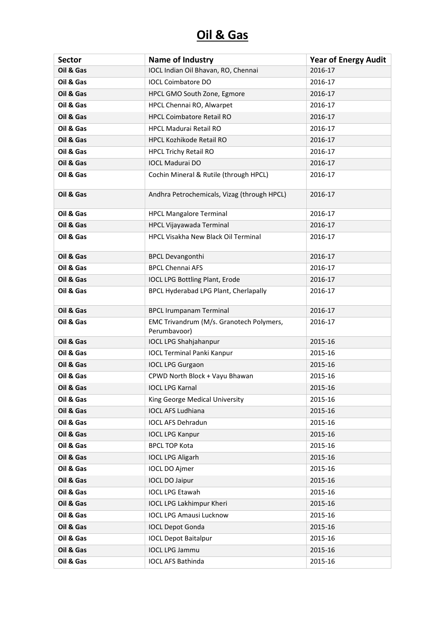| <b>Sector</b> | <b>Name of Industry</b>                                  | <b>Year of Energy Audit</b> |
|---------------|----------------------------------------------------------|-----------------------------|
| Oil & Gas     | IOCL Indian Oil Bhavan, RO, Chennai                      | 2016-17                     |
| Oil & Gas     | <b>IOCL Coimbatore DO</b>                                | 2016-17                     |
| Oil & Gas     | HPCL GMO South Zone, Egmore                              | 2016-17                     |
| Oil & Gas     | HPCL Chennai RO, Alwarpet                                | 2016-17                     |
| Oil & Gas     | <b>HPCL Coimbatore Retail RO</b>                         | 2016-17                     |
| Oil & Gas     | <b>HPCL Madurai Retail RO</b>                            | 2016-17                     |
| Oil & Gas     | <b>HPCL Kozhikode Retail RO</b>                          | 2016-17                     |
| Oil & Gas     | <b>HPCL Trichy Retail RO</b>                             | 2016-17                     |
| Oil & Gas     | <b>IOCL Madurai DO</b>                                   | 2016-17                     |
| Oil & Gas     | Cochin Mineral & Rutile (through HPCL)                   | 2016-17                     |
| Oil & Gas     | Andhra Petrochemicals, Vizag (through HPCL)              | 2016-17                     |
| Oil & Gas     | <b>HPCL Mangalore Terminal</b>                           | 2016-17                     |
| Oil & Gas     | HPCL Vijayawada Terminal                                 | 2016-17                     |
| Oil & Gas     | <b>HPCL Visakha New Black Oil Terminal</b>               | 2016-17                     |
| Oil & Gas     | <b>BPCL Devangonthi</b>                                  | 2016-17                     |
| Oil & Gas     | <b>BPCL Chennai AFS</b>                                  | 2016-17                     |
| Oil & Gas     | <b>IOCL LPG Bottling Plant, Erode</b>                    | 2016-17                     |
| Oil & Gas     | BPCL Hyderabad LPG Plant, Cherlapally                    | 2016-17                     |
| Oil & Gas     | <b>BPCL Irumpanam Terminal</b>                           | 2016-17                     |
| Oil & Gas     | EMC Trivandrum (M/s. Granotech Polymers,<br>Perumbavoor) | 2016-17                     |
| Oil & Gas     | <b>IOCL LPG Shahjahanpur</b>                             | 2015-16                     |
| Oil & Gas     | <b>IOCL Terminal Panki Kanpur</b>                        | 2015-16                     |
| Oil & Gas     | <b>IOCL LPG Gurgaon</b>                                  | 2015-16                     |
| Oil & Gas     | CPWD North Block + Vayu Bhawan                           | 2015-16                     |
| Oil & Gas     | <b>IOCL LPG Karnal</b>                                   | 2015-16                     |
| Oil & Gas     | King George Medical University                           | 2015-16                     |
| Oil & Gas     | <b>IOCL AFS Ludhiana</b>                                 | 2015-16                     |
| Oil & Gas     | <b>IOCL AFS Dehradun</b>                                 | 2015-16                     |
| Oil & Gas     | <b>IOCL LPG Kanpur</b>                                   | 2015-16                     |
| Oil & Gas     | <b>BPCL TOP Kota</b>                                     | 2015-16                     |
| Oil & Gas     | <b>IOCL LPG Aligarh</b>                                  | 2015-16                     |
| Oil & Gas     | <b>IOCL DO Ajmer</b>                                     | 2015-16                     |
| Oil & Gas     | <b>IOCL DO Jaipur</b>                                    | 2015-16                     |
| Oil & Gas     | <b>IOCL LPG Etawah</b>                                   | 2015-16                     |
| Oil & Gas     | <b>IOCL LPG Lakhimpur Kheri</b>                          | 2015-16                     |
| Oil & Gas     | <b>IOCL LPG Amausi Lucknow</b>                           | 2015-16                     |
| Oil & Gas     | <b>IOCL Depot Gonda</b>                                  | 2015-16                     |
| Oil & Gas     | <b>IOCL Depot Baitalpur</b>                              | 2015-16                     |
| Oil & Gas     | <b>IOCL LPG Jammu</b>                                    | 2015-16                     |
| Oil & Gas     | <b>IOCL AFS Bathinda</b>                                 | 2015-16                     |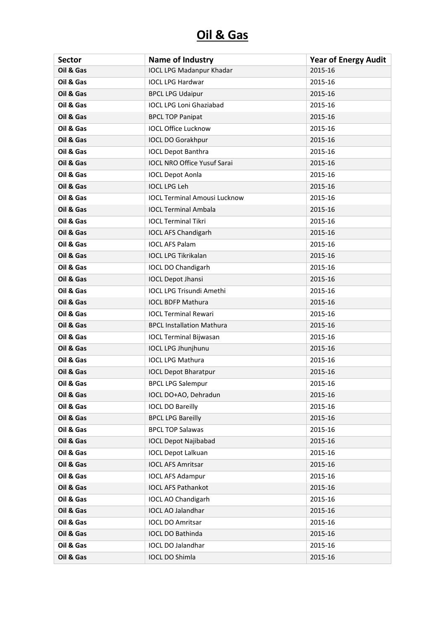| <b>Sector</b> | <b>Name of Industry</b>             | <b>Year of Energy Audit</b> |
|---------------|-------------------------------------|-----------------------------|
| Oil & Gas     | <b>IOCL LPG Madanpur Khadar</b>     | 2015-16                     |
| Oil & Gas     | <b>IOCL LPG Hardwar</b>             | 2015-16                     |
| Oil & Gas     | <b>BPCL LPG Udaipur</b>             | 2015-16                     |
| Oil & Gas     | <b>IOCL LPG Loni Ghaziabad</b>      | 2015-16                     |
| Oil & Gas     | <b>BPCL TOP Panipat</b>             | 2015-16                     |
| Oil & Gas     | <b>IOCL Office Lucknow</b>          | 2015-16                     |
| Oil & Gas     | <b>IOCL DO Gorakhpur</b>            | 2015-16                     |
| Oil & Gas     | <b>IOCL Depot Banthra</b>           | 2015-16                     |
| Oil & Gas     | <b>IOCL NRO Office Yusuf Sarai</b>  | 2015-16                     |
| Oil & Gas     | <b>IOCL Depot Aonla</b>             | 2015-16                     |
| Oil & Gas     | <b>IOCL LPG Leh</b>                 | 2015-16                     |
| Oil & Gas     | <b>IOCL Terminal Amousi Lucknow</b> | 2015-16                     |
| Oil & Gas     | <b>IOCL Terminal Ambala</b>         | 2015-16                     |
| Oil & Gas     | <b>IOCL Terminal Tikri</b>          | 2015-16                     |
| Oil & Gas     | <b>IOCL AFS Chandigarh</b>          | 2015-16                     |
| Oil & Gas     | <b>IOCL AFS Palam</b>               | 2015-16                     |
| Oil & Gas     | <b>IOCL LPG Tikrikalan</b>          | 2015-16                     |
| Oil & Gas     | <b>IOCL DO Chandigarh</b>           | 2015-16                     |
| Oil & Gas     | <b>IOCL Depot Jhansi</b>            | 2015-16                     |
| Oil & Gas     | <b>IOCL LPG Trisundi Amethi</b>     | 2015-16                     |
| Oil & Gas     | <b>IOCL BDFP Mathura</b>            | 2015-16                     |
| Oil & Gas     | <b>IOCL Terminal Rewari</b>         | 2015-16                     |
| Oil & Gas     | <b>BPCL Installation Mathura</b>    | 2015-16                     |
| Oil & Gas     | <b>IOCL Terminal Bijwasan</b>       | 2015-16                     |
| Oil & Gas     | <b>IOCL LPG Jhunjhunu</b>           | 2015-16                     |
| Oil & Gas     | <b>IOCL LPG Mathura</b>             | 2015-16                     |
| Oil & Gas     | <b>IOCL Depot Bharatpur</b>         | 2015-16                     |
| Oil & Gas     | <b>BPCL LPG Salempur</b>            | 2015-16                     |
| Oil & Gas     | IOCL DO+AO, Dehradun                | 2015-16                     |
| Oil & Gas     | <b>IOCL DO Bareilly</b>             | 2015-16                     |
| Oil & Gas     | <b>BPCL LPG Bareilly</b>            | 2015-16                     |
| Oil & Gas     | <b>BPCL TOP Salawas</b>             | 2015-16                     |
| Oil & Gas     | <b>IOCL Depot Najibabad</b>         | 2015-16                     |
| Oil & Gas     | <b>IOCL Depot Lalkuan</b>           | 2015-16                     |
| Oil & Gas     | <b>IOCL AFS Amritsar</b>            | 2015-16                     |
| Oil & Gas     | <b>IOCL AFS Adampur</b>             | 2015-16                     |
| Oil & Gas     | <b>IOCL AFS Pathankot</b>           | 2015-16                     |
| Oil & Gas     | <b>IOCL AO Chandigarh</b>           | 2015-16                     |
| Oil & Gas     | IOCL AO Jalandhar                   | 2015-16                     |
| Oil & Gas     | <b>IOCL DO Amritsar</b>             | 2015-16                     |
| Oil & Gas     | IOCL DO Bathinda                    | 2015-16                     |
| Oil & Gas     | IOCL DO Jalandhar                   | 2015-16                     |
| Oil & Gas     | IOCL DO Shimla                      | 2015-16                     |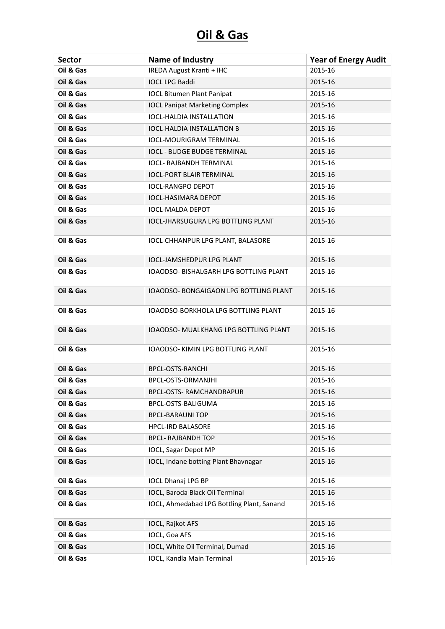| <b>Sector</b> | <b>Name of Industry</b>                    | <b>Year of Energy Audit</b> |
|---------------|--------------------------------------------|-----------------------------|
| Oil & Gas     | <b>IREDA August Kranti + IHC</b>           | 2015-16                     |
| Oil & Gas     | <b>IOCL LPG Baddi</b>                      | 2015-16                     |
| Oil & Gas     | <b>IOCL Bitumen Plant Panipat</b>          | 2015-16                     |
| Oil & Gas     | <b>IOCL Panipat Marketing Complex</b>      | 2015-16                     |
| Oil & Gas     | <b>IOCL-HALDIA INSTALLATION</b>            | 2015-16                     |
| Oil & Gas     | <b>IOCL-HALDIA INSTALLATION B</b>          | 2015-16                     |
| Oil & Gas     | <b>IOCL-MOURIGRAM TERMINAL</b>             | 2015-16                     |
| Oil & Gas     | <b>IOCL - BUDGE BUDGE TERMINAL</b>         | 2015-16                     |
| Oil & Gas     | <b>IOCL- RAJBANDH TERMINAL</b>             | 2015-16                     |
| Oil & Gas     | <b>IOCL-PORT BLAIR TERMINAL</b>            | 2015-16                     |
| Oil & Gas     | <b>IOCL-RANGPO DEPOT</b>                   | 2015-16                     |
| Oil & Gas     | <b>IOCL-HASIMARA DEPOT</b>                 | 2015-16                     |
| Oil & Gas     | <b>IOCL-MALDA DEPOT</b>                    | 2015-16                     |
| Oil & Gas     | <b>IOCL-JHARSUGURA LPG BOTTLING PLANT</b>  | 2015-16                     |
| Oil & Gas     | IOCL-CHHANPUR LPG PLANT, BALASORE          | 2015-16                     |
| Oil & Gas     | <b>IOCL-JAMSHEDPUR LPG PLANT</b>           | 2015-16                     |
| Oil & Gas     | IOAODSO- BISHALGARH LPG BOTTLING PLANT     | 2015-16                     |
| Oil & Gas     | IOAODSO- BONGAIGAON LPG BOTTLING PLANT     | 2015-16                     |
| Oil & Gas     | IOAODSO-BORKHOLA LPG BOTTLING PLANT        | 2015-16                     |
| Oil & Gas     | IOAODSO- MUALKHANG LPG BOTTLING PLANT      | 2015-16                     |
| Oil & Gas     | IOAODSO- KIMIN LPG BOTTLING PLANT          | 2015-16                     |
| Oil & Gas     | <b>BPCL-OSTS-RANCHI</b>                    | 2015-16                     |
| Oil & Gas     | BPCL-OSTS-ORMANJHI                         | 2015-16                     |
| Oil & Gas     | <b>BPCL-OSTS- RAMCHANDRAPUR</b>            | 2015-16                     |
| Oil & Gas     | BPCL-OSTS-BALIGUMA                         | 2015-16                     |
| Oil & Gas     | <b>BPCL-BARAUNI TOP</b>                    | 2015-16                     |
| Oil & Gas     | <b>HPCL-IRD BALASORE</b>                   | 2015-16                     |
| Oil & Gas     | <b>BPCL- RAJBANDH TOP</b>                  | 2015-16                     |
| Oil & Gas     | <b>IOCL, Sagar Depot MP</b>                | 2015-16                     |
| Oil & Gas     | IOCL, Indane botting Plant Bhavnagar       | 2015-16                     |
| Oil & Gas     | <b>IOCL Dhanaj LPG BP</b>                  | 2015-16                     |
| Oil & Gas     | IOCL, Baroda Black Oil Terminal            | 2015-16                     |
| Oil & Gas     | IOCL, Ahmedabad LPG Bottling Plant, Sanand | 2015-16                     |
| Oil & Gas     | IOCL, Rajkot AFS                           | 2015-16                     |
| Oil & Gas     | IOCL, Goa AFS                              | 2015-16                     |
| Oil & Gas     | IOCL, White Oil Terminal, Dumad            | 2015-16                     |
| Oil & Gas     | IOCL, Kandla Main Terminal                 | 2015-16                     |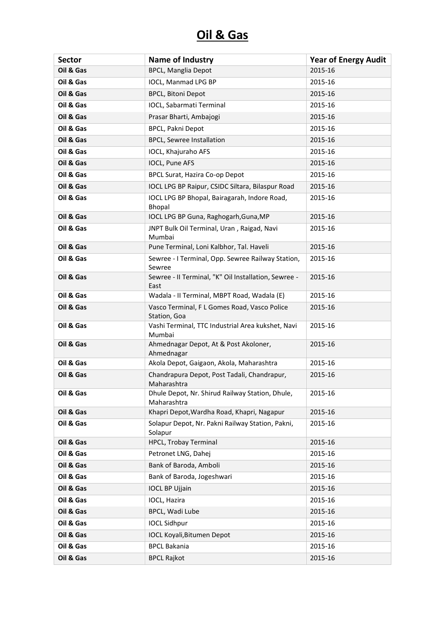| <b>Sector</b> | Name of Industry                                               | <b>Year of Energy Audit</b> |
|---------------|----------------------------------------------------------------|-----------------------------|
| Oil & Gas     | <b>BPCL, Manglia Depot</b>                                     | 2015-16                     |
| Oil & Gas     | IOCL, Manmad LPG BP                                            | 2015-16                     |
| Oil & Gas     | <b>BPCL, Bitoni Depot</b>                                      | 2015-16                     |
| Oil & Gas     | IOCL, Sabarmati Terminal                                       | 2015-16                     |
| Oil & Gas     | Prasar Bharti, Ambajogi                                        | 2015-16                     |
| Oil & Gas     | BPCL, Pakni Depot                                              | 2015-16                     |
| Oil & Gas     | <b>BPCL, Sewree Installation</b>                               | 2015-16                     |
| Oil & Gas     | IOCL, Khajuraho AFS                                            | 2015-16                     |
| Oil & Gas     | IOCL, Pune AFS                                                 | 2015-16                     |
| Oil & Gas     | <b>BPCL Surat, Hazira Co-op Depot</b>                          | 2015-16                     |
| Oil & Gas     | IOCL LPG BP Raipur, CSIDC Siltara, Bilaspur Road               | 2015-16                     |
| Oil & Gas     | IOCL LPG BP Bhopal, Bairagarah, Indore Road,<br>Bhopal         | 2015-16                     |
| Oil & Gas     | IOCL LPG BP Guna, Raghogarh, Guna, MP                          | 2015-16                     |
| Oil & Gas     | JNPT Bulk Oil Terminal, Uran, Raigad, Navi<br>Mumbai           | 2015-16                     |
| Oil & Gas     | Pune Terminal, Loni Kalbhor, Tal. Haveli                       | 2015-16                     |
| Oil & Gas     | Sewree - I Terminal, Opp. Sewree Railway Station,<br>Sewree    | 2015-16                     |
| Oil & Gas     | Sewree - II Terminal, "K" Oil Installation, Sewree -<br>East   | 2015-16                     |
| Oil & Gas     | Wadala - II Terminal, MBPT Road, Wadala (E)                    | 2015-16                     |
| Oil & Gas     | Vasco Terminal, F L Gomes Road, Vasco Police<br>Station, Goa   | 2015-16                     |
| Oil & Gas     | Vashi Terminal, TTC Industrial Area kukshet, Navi<br>Mumbai    | 2015-16                     |
| Oil & Gas     | Ahmednagar Depot, At & Post Akoloner,<br>Ahmednagar            | 2015-16                     |
| Oil & Gas     | Akola Depot, Gaigaon, Akola, Maharashtra                       | 2015-16                     |
| Oil & Gas     | Chandrapura Depot, Post Tadali, Chandrapur,<br>Maharashtra     | 2015-16                     |
| Oil & Gas     | Dhule Depot, Nr. Shirud Railway Station, Dhule,<br>Maharashtra | 2015-16                     |
| Oil & Gas     | Khapri Depot, Wardha Road, Khapri, Nagapur                     | 2015-16                     |
| Oil & Gas     | Solapur Depot, Nr. Pakni Railway Station, Pakni,<br>Solapur    | 2015-16                     |
| Oil & Gas     | HPCL, Trobay Terminal                                          | 2015-16                     |
| Oil & Gas     | Petronet LNG, Dahej                                            | 2015-16                     |
| Oil & Gas     | Bank of Baroda, Amboli                                         | 2015-16                     |
| Oil & Gas     | Bank of Baroda, Jogeshwari                                     | 2015-16                     |
| Oil & Gas     | <b>IOCL BP Ujjain</b>                                          | 2015-16                     |
| Oil & Gas     | IOCL, Hazira                                                   | 2015-16                     |
| Oil & Gas     | BPCL, Wadi Lube                                                | 2015-16                     |
| Oil & Gas     | <b>IOCL Sidhpur</b>                                            | 2015-16                     |
| Oil & Gas     | <b>IOCL Koyali, Bitumen Depot</b>                              | 2015-16                     |
| Oil & Gas     | <b>BPCL Bakania</b>                                            | 2015-16                     |
| Oil & Gas     | <b>BPCL Rajkot</b>                                             | 2015-16                     |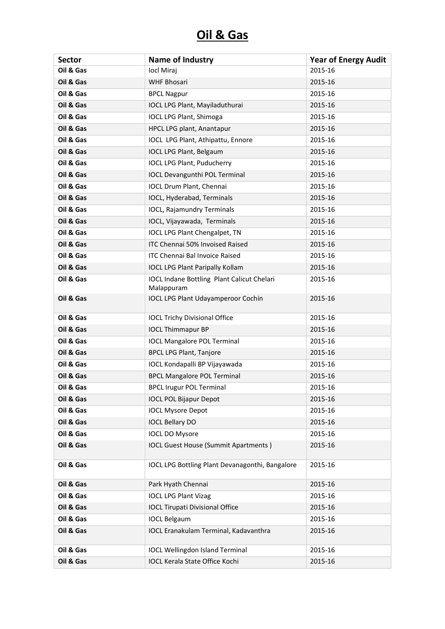| <b>Sector</b> | <b>Name of Industry</b>                                  | <b>Year of Energy Audit</b> |
|---------------|----------------------------------------------------------|-----------------------------|
| Oil & Gas     | locl Miraj                                               | 2015-16                     |
| Oil & Gas     | <b>WHF Bhosari</b>                                       | 2015-16                     |
| Oil & Gas     | <b>BPCL Nagpur</b>                                       | 2015-16                     |
| Oil & Gas     | IOCL LPG Plant, Mayiladuthurai                           | 2015-16                     |
| Oil & Gas     | <b>IOCL LPG Plant, Shimoga</b>                           | 2015-16                     |
| Oil & Gas     | HPCL LPG plant, Anantapur                                | 2015-16                     |
| Oil & Gas     | IOCL LPG Plant, Athipattu, Ennore                        | 2015-16                     |
| Oil & Gas     | <b>IOCL LPG Plant, Belgaum</b>                           | 2015-16                     |
| Oil & Gas     | <b>IOCL LPG Plant, Puducherry</b>                        | 2015-16                     |
| Oil & Gas     | <b>IOCL Devangunthi POL Terminal</b>                     | 2015-16                     |
| Oil & Gas     | IOCL Drum Plant, Chennai                                 | 2015-16                     |
| Oil & Gas     | IOCL, Hyderabad, Terminals                               | 2015-16                     |
| Oil & Gas     | <b>IOCL, Rajamundry Terminals</b>                        | 2015-16                     |
| Oil & Gas     | IOCL, Vijayawada, Terminals                              | 2015-16                     |
| Oil & Gas     | <b>IOCL LPG Plant Chengalpet, TN</b>                     | 2015-16                     |
| Oil & Gas     | ITC Chennai 50% Invoised Raised                          | 2015-16                     |
| Oil & Gas     | <b>ITC Chennai Bal Invoice Raised</b>                    | 2015-16                     |
| Oil & Gas     | <b>IOCL LPG Plant Paripally Kollam</b>                   | 2015-16                     |
| Oil & Gas     | IOCL Indane Bottling Plant Calicut Chelari<br>Malappuram | 2015-16                     |
| Oil & Gas     | <b>IOCL LPG Plant Udayamperoor Cochin</b>                | 2015-16                     |
| Oil & Gas     | <b>IOCL Trichy Divisional Office</b>                     | 2015-16                     |
| Oil & Gas     | <b>IOCL Thimmapur BP</b>                                 | 2015-16                     |
| Oil & Gas     | <b>IOCL Mangalore POL Terminal</b>                       | 2015-16                     |
| Oil & Gas     | <b>BPCL LPG Plant, Tanjore</b>                           | 2015-16                     |
| Oil & Gas     | IOCL Kondapalli BP Vijayawada                            | 2015-16                     |
| Oil & Gas     | <b>BPCL Mangalore POL Terminal</b>                       | 2015-16                     |
| Oil & Gas     | <b>BPCL Irugur POL Terminal</b>                          | 2015-16                     |
| Oil & Gas     | <b>IOCL POL Bijapur Depot</b>                            | 2015-16                     |
| Oil & Gas     | <b>IOCL Mysore Depot</b>                                 | 2015-16                     |
| Oil & Gas     | <b>IOCL Bellary DO</b>                                   | 2015-16                     |
| Oil & Gas     | <b>IOCL DO Mysore</b>                                    | 2015-16                     |
| Oil & Gas     | <b>IOCL Guest House (Summit Apartments)</b>              | 2015-16                     |
| Oil & Gas     | IOCL LPG Bottling Plant Devanagonthi, Bangalore          | 2015-16                     |
| Oil & Gas     | Park Hyath Chennai                                       | 2015-16                     |
| Oil & Gas     | <b>IOCL LPG Plant Vizag</b>                              | 2015-16                     |
| Oil & Gas     | <b>IOCL Tirupati Divisional Office</b>                   | 2015-16                     |
| Oil & Gas     | <b>IOCL Belgaum</b>                                      | 2015-16                     |
| Oil & Gas     | <b>IOCL Eranakulam Terminal, Kadavanthra</b>             | 2015-16                     |
| Oil & Gas     | <b>IOCL Wellingdon Island Terminal</b>                   | 2015-16                     |
| Oil & Gas     | <b>IOCL Kerala State Office Kochi</b>                    | 2015-16                     |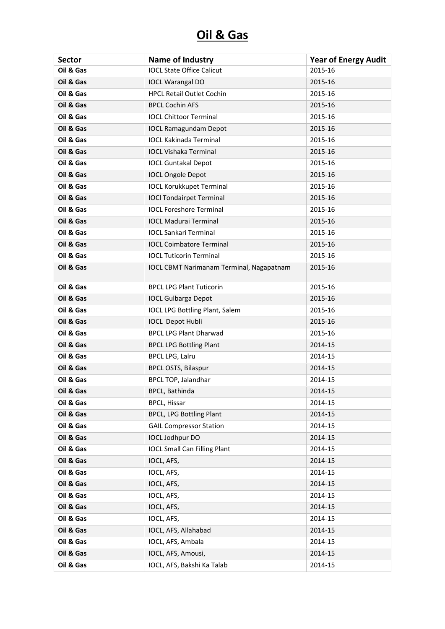| <b>Sector</b> | <b>Name of Industry</b>                         | <b>Year of Energy Audit</b> |
|---------------|-------------------------------------------------|-----------------------------|
| Oil & Gas     | <b>IOCL State Office Calicut</b>                | 2015-16                     |
| Oil & Gas     | <b>IOCL Warangal DO</b>                         | 2015-16                     |
| Oil & Gas     | <b>HPCL Retail Outlet Cochin</b>                | 2015-16                     |
| Oil & Gas     | <b>BPCL Cochin AFS</b>                          | 2015-16                     |
| Oil & Gas     | <b>IOCL Chittoor Terminal</b>                   | 2015-16                     |
| Oil & Gas     | <b>IOCL Ramagundam Depot</b>                    | 2015-16                     |
| Oil & Gas     | <b>IOCL Kakinada Terminal</b>                   | 2015-16                     |
| Oil & Gas     | <b>IOCL Vishaka Terminal</b>                    | 2015-16                     |
| Oil & Gas     | <b>IOCL Guntakal Depot</b>                      | 2015-16                     |
| Oil & Gas     | <b>IOCL Ongole Depot</b>                        | 2015-16                     |
| Oil & Gas     | <b>IOCL Korukkupet Terminal</b>                 | 2015-16                     |
| Oil & Gas     | <b>IOCI Tondairpet Terminal</b>                 | 2015-16                     |
| Oil & Gas     | <b>IOCL Foreshore Terminal</b>                  | 2015-16                     |
| Oil & Gas     | <b>IOCL Madurai Terminal</b>                    | 2015-16                     |
| Oil & Gas     | <b>IOCL Sankari Terminal</b>                    | 2015-16                     |
| Oil & Gas     | <b>IOCL Coimbatore Terminal</b>                 | 2015-16                     |
| Oil & Gas     | <b>IOCL Tuticorin Terminal</b>                  | 2015-16                     |
| Oil & Gas     | <b>IOCL CBMT Narimanam Terminal, Nagapatnam</b> | 2015-16                     |
| Oil & Gas     | <b>BPCL LPG Plant Tuticorin</b>                 | 2015-16                     |
| Oil & Gas     | <b>IOCL Gulbarga Depot</b>                      | 2015-16                     |
| Oil & Gas     | <b>IOCL LPG Bottling Plant, Salem</b>           | 2015-16                     |
| Oil & Gas     | <b>IOCL Depot Hubli</b>                         | 2015-16                     |
| Oil & Gas     | <b>BPCL LPG Plant Dharwad</b>                   | 2015-16                     |
| Oil & Gas     | <b>BPCL LPG Bottling Plant</b>                  | 2014-15                     |
| Oil & Gas     | <b>BPCL LPG, Lalru</b>                          | 2014-15                     |
| Oil & Gas     | <b>BPCL OSTS, Bilaspur</b>                      | 2014-15                     |
| Oil & Gas     | BPCL TOP, Jalandhar                             | 2014-15                     |
| Oil & Gas     | <b>BPCL, Bathinda</b>                           | 2014-15                     |
| Oil & Gas     | <b>BPCL, Hissar</b>                             | 2014-15                     |
| Oil & Gas     | <b>BPCL, LPG Bottling Plant</b>                 | 2014-15                     |
| Oil & Gas     | <b>GAIL Compressor Station</b>                  | 2014-15                     |
| Oil & Gas     | <b>IOCL Jodhpur DO</b>                          | 2014-15                     |
| Oil & Gas     | <b>IOCL Small Can Filling Plant</b>             | 2014-15                     |
| Oil & Gas     | IOCL, AFS,                                      | 2014-15                     |
| Oil & Gas     | IOCL, AFS,                                      | 2014-15                     |
| Oil & Gas     | IOCL, AFS,                                      | 2014-15                     |
| Oil & Gas     | IOCL, AFS,                                      | 2014-15                     |
| Oil & Gas     | IOCL, AFS,                                      | 2014-15                     |
| Oil & Gas     | IOCL, AFS,                                      | 2014-15                     |
| Oil & Gas     | IOCL, AFS, Allahabad                            | 2014-15                     |
| Oil & Gas     | IOCL, AFS, Ambala                               | 2014-15                     |
| Oil & Gas     | IOCL, AFS, Amousi,                              | 2014-15                     |
| Oil & Gas     | IOCL, AFS, Bakshi Ka Talab                      | 2014-15                     |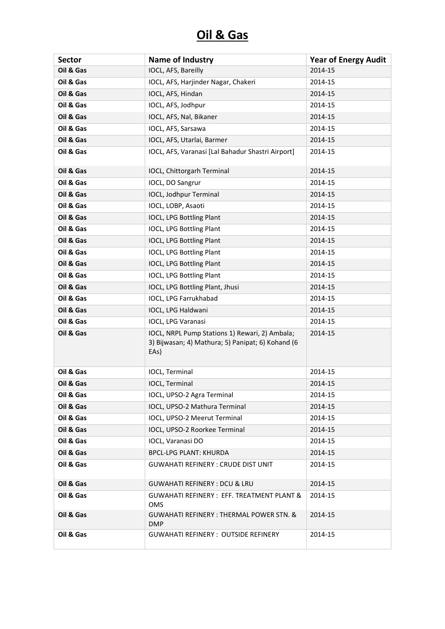| <b>Sector</b> | <b>Name of Industry</b>                                                                                     | <b>Year of Energy Audit</b> |
|---------------|-------------------------------------------------------------------------------------------------------------|-----------------------------|
| Oil & Gas     | IOCL, AFS, Bareilly                                                                                         | 2014-15                     |
| Oil & Gas     | IOCL, AFS, Harjinder Nagar, Chakeri                                                                         | 2014-15                     |
| Oil & Gas     | IOCL, AFS, Hindan                                                                                           | 2014-15                     |
| Oil & Gas     | IOCL, AFS, Jodhpur                                                                                          | 2014-15                     |
| Oil & Gas     | IOCL, AFS, Nal, Bikaner                                                                                     | 2014-15                     |
| Oil & Gas     | IOCL, AFS, Sarsawa                                                                                          | 2014-15                     |
| Oil & Gas     | IOCL, AFS, Utarlai, Barmer                                                                                  | 2014-15                     |
| Oil & Gas     | IOCL, AFS, Varanasi [Lal Bahadur Shastri Airport]                                                           | 2014-15                     |
| Oil & Gas     | IOCL, Chittorgarh Terminal                                                                                  | 2014-15                     |
| Oil & Gas     | IOCL, DO Sangrur                                                                                            | 2014-15                     |
| Oil & Gas     | IOCL, Jodhpur Terminal                                                                                      | 2014-15                     |
| Oil & Gas     | IOCL, LOBP, Asaoti                                                                                          | 2014-15                     |
| Oil & Gas     | <b>IOCL, LPG Bottling Plant</b>                                                                             | 2014-15                     |
| Oil & Gas     | IOCL, LPG Bottling Plant                                                                                    | 2014-15                     |
| Oil & Gas     | <b>IOCL, LPG Bottling Plant</b>                                                                             | 2014-15                     |
| Oil & Gas     | <b>IOCL, LPG Bottling Plant</b>                                                                             | 2014-15                     |
| Oil & Gas     | IOCL, LPG Bottling Plant                                                                                    | 2014-15                     |
| Oil & Gas     | IOCL, LPG Bottling Plant                                                                                    | 2014-15                     |
| Oil & Gas     | IOCL, LPG Bottling Plant, Jhusi                                                                             | 2014-15                     |
| Oil & Gas     | IOCL, LPG Farrukhabad                                                                                       | 2014-15                     |
| Oil & Gas     | IOCL, LPG Haldwani                                                                                          | 2014-15                     |
| Oil & Gas     | IOCL, LPG Varanasi                                                                                          | 2014-15                     |
| Oil & Gas     | IOCL, NRPL Pump Stations 1) Rewari, 2) Ambala;<br>3) Bijwasan; 4) Mathura; 5) Panipat; 6) Kohand (6<br>EAs) | 2014-15                     |
| Oil & Gas     | IOCL, Terminal                                                                                              | 2014-15                     |
| Oil & Gas     | IOCL, Terminal                                                                                              | 2014-15                     |
| Oil & Gas     | IOCL, UPSO-2 Agra Terminal                                                                                  | 2014-15                     |
| Oil & Gas     | IOCL, UPSO-2 Mathura Terminal                                                                               | 2014-15                     |
| Oil & Gas     | IOCL, UPSO-2 Meerut Terminal                                                                                | 2014-15                     |
| Oil & Gas     | IOCL, UPSO-2 Roorkee Terminal                                                                               | 2014-15                     |
| Oil & Gas     | IOCL, Varanasi DO                                                                                           | 2014-15                     |
| Oil & Gas     | <b>BPCL-LPG PLANT: KHURDA</b>                                                                               | 2014-15                     |
| Oil & Gas     | <b>GUWAHATI REFINERY: CRUDE DIST UNIT</b>                                                                   | 2014-15                     |
| Oil & Gas     | <b>GUWAHATI REFINERY: DCU &amp; LRU</b>                                                                     | 2014-15                     |
| Oil & Gas     | <b>GUWAHATI REFINERY: EFF. TREATMENT PLANT &amp;</b><br>OMS                                                 | 2014-15                     |
| Oil & Gas     | <b>GUWAHATI REFINERY: THERMAL POWER STN. &amp;</b><br><b>DMP</b>                                            | 2014-15                     |
| Oil & Gas     | <b>GUWAHATI REFINERY: OUTSIDE REFINERY</b>                                                                  | 2014-15                     |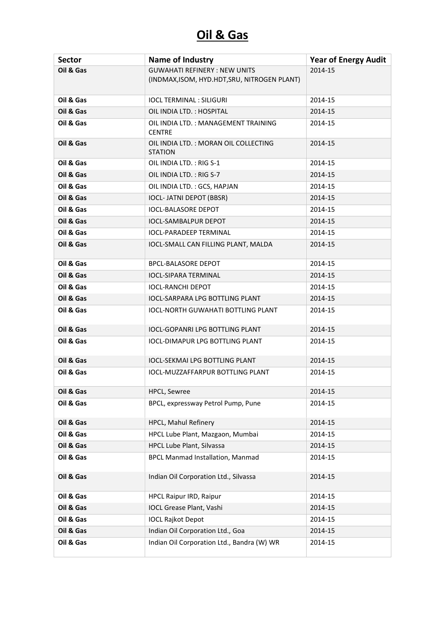| <b>Sector</b> | Name of Industry                                                                    | <b>Year of Energy Audit</b> |
|---------------|-------------------------------------------------------------------------------------|-----------------------------|
| Oil & Gas     | <b>GUWAHATI REFINERY: NEW UNITS</b><br>(INDMAX, ISOM, HYD.HDT, SRU, NITROGEN PLANT) | 2014-15                     |
| Oil & Gas     | <b>IOCL TERMINAL: SILIGURI</b>                                                      | 2014-15                     |
| Oil & Gas     | OIL INDIA LTD. : HOSPITAL                                                           | 2014-15                     |
| Oil & Gas     | OIL INDIA LTD.: MANAGEMENT TRAINING<br><b>CENTRE</b>                                | 2014-15                     |
| Oil & Gas     | OIL INDIA LTD. : MORAN OIL COLLECTING<br><b>STATION</b>                             | 2014-15                     |
| Oil & Gas     | OIL INDIA LTD.: RIG S-1                                                             | 2014-15                     |
| Oil & Gas     | OIL INDIA LTD.: RIG S-7                                                             | 2014-15                     |
| Oil & Gas     | OIL INDIA LTD. : GCS, HAPJAN                                                        | 2014-15                     |
| Oil & Gas     | <b>IOCL- JATNI DEPOT (BBSR)</b>                                                     | 2014-15                     |
| Oil & Gas     | <b>IOCL-BALASORE DEPOT</b>                                                          | 2014-15                     |
| Oil & Gas     | <b>IOCL-SAMBALPUR DEPOT</b>                                                         | 2014-15                     |
| Oil & Gas     | <b>IOCL-PARADEEP TERMINAL</b>                                                       | 2014-15                     |
| Oil & Gas     | IOCL-SMALL CAN FILLING PLANT, MALDA                                                 | 2014-15                     |
| Oil & Gas     | <b>BPCL-BALASORE DEPOT</b>                                                          | 2014-15                     |
| Oil & Gas     | <b>IOCL-SIPARA TERMINAL</b>                                                         | 2014-15                     |
| Oil & Gas     | <b>IOCL-RANCHI DEPOT</b>                                                            | 2014-15                     |
| Oil & Gas     | <b>IOCL-SARPARA LPG BOTTLING PLANT</b>                                              | 2014-15                     |
| Oil & Gas     | <b>IOCL-NORTH GUWAHATI BOTTLING PLANT</b>                                           | 2014-15                     |
| Oil & Gas     | <b>IOCL-GOPANRI LPG BOTTLING PLANT</b>                                              | 2014-15                     |
| Oil & Gas     | <b>IOCL-DIMAPUR LPG BOTTLING PLANT</b>                                              | 2014-15                     |
| Oil & Gas     | <b>IOCL-SEKMAI LPG BOTTLING PLANT</b>                                               | 2014-15                     |
| Oil & Gas     | <b>IOCL-MUZZAFFARPUR BOTTLING PLANT</b>                                             | 2014-15                     |
| Oil & Gas     | <b>HPCL, Sewree</b>                                                                 | 2014-15                     |
| Oil & Gas     | BPCL, expressway Petrol Pump, Pune                                                  | 2014-15                     |
| Oil & Gas     | HPCL, Mahul Refinery                                                                | 2014-15                     |
| Oil & Gas     | HPCL Lube Plant, Mazgaon, Mumbai                                                    | 2014-15                     |
| Oil & Gas     | HPCL Lube Plant, Silvassa                                                           | 2014-15                     |
| Oil & Gas     | <b>BPCL Manmad Installation, Manmad</b>                                             | 2014-15                     |
| Oil & Gas     | Indian Oil Corporation Ltd., Silvassa                                               | 2014-15                     |
| Oil & Gas     | HPCL Raipur IRD, Raipur                                                             | 2014-15                     |
| Oil & Gas     | <b>IOCL Grease Plant, Vashi</b>                                                     | 2014-15                     |
| Oil & Gas     | <b>IOCL Rajkot Depot</b>                                                            | 2014-15                     |
| Oil & Gas     | Indian Oil Corporation Ltd., Goa                                                    | 2014-15                     |
| Oil & Gas     | Indian Oil Corporation Ltd., Bandra (W) WR                                          | 2014-15                     |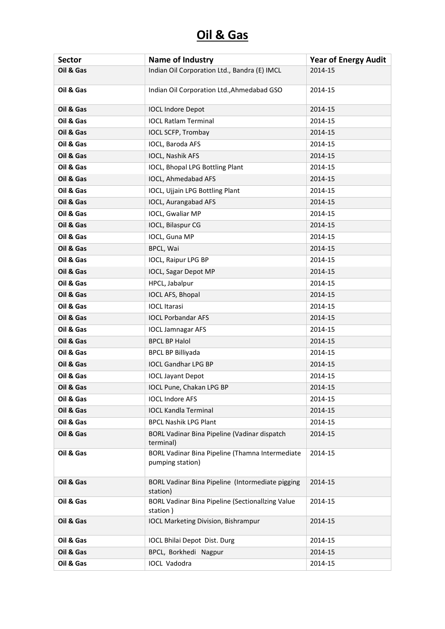| <b>Sector</b> | Name of Industry                                                    | <b>Year of Energy Audit</b> |
|---------------|---------------------------------------------------------------------|-----------------------------|
| Oil & Gas     | Indian Oil Corporation Ltd., Bandra (E) IMCL                        | 2014-15                     |
| Oil & Gas     | Indian Oil Corporation Ltd., Ahmedabad GSO                          | 2014-15                     |
| Oil & Gas     | <b>IOCL Indore Depot</b>                                            | 2014-15                     |
| Oil & Gas     | <b>IOCL Ratlam Terminal</b>                                         | 2014-15                     |
| Oil & Gas     | IOCL SCFP, Trombay                                                  | 2014-15                     |
| Oil & Gas     | IOCL, Baroda AFS                                                    | 2014-15                     |
| Oil & Gas     | IOCL, Nashik AFS                                                    | 2014-15                     |
| Oil & Gas     | IOCL, Bhopal LPG Bottling Plant                                     | 2014-15                     |
| Oil & Gas     | IOCL, Ahmedabad AFS                                                 | 2014-15                     |
| Oil & Gas     | IOCL, Ujjain LPG Bottling Plant                                     | 2014-15                     |
| Oil & Gas     | <b>IOCL, Aurangabad AFS</b>                                         | 2014-15                     |
| Oil & Gas     | IOCL, Gwaliar MP                                                    | 2014-15                     |
| Oil & Gas     | IOCL, Bilaspur CG                                                   | 2014-15                     |
| Oil & Gas     | IOCL, Guna MP                                                       | 2014-15                     |
| Oil & Gas     | BPCL, Wai                                                           | 2014-15                     |
| Oil & Gas     | IOCL, Raipur LPG BP                                                 | 2014-15                     |
| Oil & Gas     | <b>IOCL, Sagar Depot MP</b>                                         | 2014-15                     |
| Oil & Gas     | HPCL, Jabalpur                                                      | 2014-15                     |
| Oil & Gas     | IOCL AFS, Bhopal                                                    | 2014-15                     |
| Oil & Gas     | <b>IOCL Itarasi</b>                                                 | 2014-15                     |
| Oil & Gas     | <b>IOCL Porbandar AFS</b>                                           | 2014-15                     |
| Oil & Gas     | <b>IOCL Jamnagar AFS</b>                                            | 2014-15                     |
| Oil & Gas     | <b>BPCL BP Halol</b>                                                | 2014-15                     |
| Oil & Gas     | <b>BPCL BP Billiyada</b>                                            | 2014-15                     |
| Oil & Gas     | <b>IOCL Gandhar LPG BP</b>                                          | 2014-15                     |
| Oil & Gas     | <b>IOCL Jayant Depot</b>                                            | 2014-15                     |
| Oil & Gas     | IOCL Pune, Chakan LPG BP                                            | 2014-15                     |
| Oil & Gas     | <b>IOCL Indore AFS</b>                                              | 2014-15                     |
| Oil & Gas     | <b>IOCL Kandla Terminal</b>                                         | 2014-15                     |
| Oil & Gas     | <b>BPCL Nashik LPG Plant</b>                                        | 2014-15                     |
| Oil & Gas     | BORL Vadinar Bina Pipeline (Vadinar dispatch<br>terminal)           | 2014-15                     |
| Oil & Gas     | BORL Vadinar Bina Pipeline (Thamna Intermediate<br>pumping station) | 2014-15                     |
| Oil & Gas     | BORL Vadinar Bina Pipeline (Intormediate pigging<br>station)        | 2014-15                     |
| Oil & Gas     | BORL Vadinar Bina Pipeline (Sectionallzing Value<br>station)        | 2014-15                     |
| Oil & Gas     | <b>IOCL Marketing Division, Bishrampur</b>                          | 2014-15                     |
| Oil & Gas     | IOCL Bhilai Depot Dist. Durg                                        | 2014-15                     |
| Oil & Gas     | BPCL, Borkhedi Nagpur                                               | 2014-15                     |
| Oil & Gas     | <b>IOCL Vadodra</b>                                                 | 2014-15                     |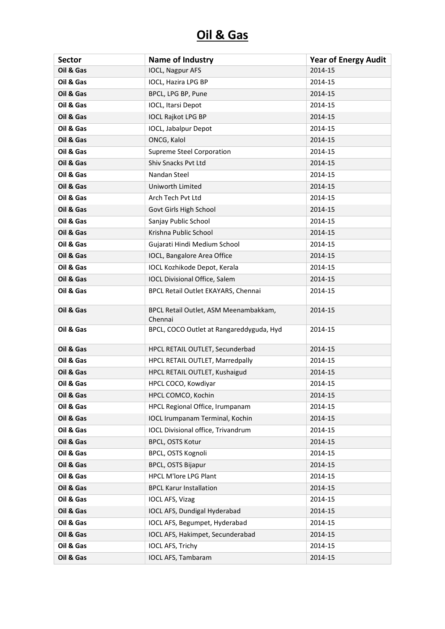| <b>Sector</b> | <b>Name of Industry</b>                          | <b>Year of Energy Audit</b> |
|---------------|--------------------------------------------------|-----------------------------|
| Oil & Gas     | <b>IOCL, Nagpur AFS</b>                          | 2014-15                     |
| Oil & Gas     | IOCL, Hazira LPG BP                              | 2014-15                     |
| Oil & Gas     | BPCL, LPG BP, Pune                               | 2014-15                     |
| Oil & Gas     | <b>IOCL, Itarsi Depot</b>                        | 2014-15                     |
| Oil & Gas     | <b>IOCL Rajkot LPG BP</b>                        | 2014-15                     |
| Oil & Gas     | IOCL, Jabalpur Depot                             | 2014-15                     |
| Oil & Gas     | ONCG, Kalol                                      | 2014-15                     |
| Oil & Gas     | <b>Supreme Steel Corporation</b>                 | 2014-15                     |
| Oil & Gas     | Shiv Snacks Pvt Ltd                              | 2014-15                     |
| Oil & Gas     | Nandan Steel                                     | 2014-15                     |
| Oil & Gas     | Uniworth Limited                                 | 2014-15                     |
| Oil & Gas     | Arch Tech Pvt Ltd                                | 2014-15                     |
| Oil & Gas     | Govt Girls High School                           | 2014-15                     |
| Oil & Gas     | Sanjay Public School                             | 2014-15                     |
| Oil & Gas     | Krishna Public School                            | 2014-15                     |
| Oil & Gas     | Gujarati Hindi Medium School                     | 2014-15                     |
| Oil & Gas     | IOCL, Bangalore Area Office                      | 2014-15                     |
| Oil & Gas     | <b>IOCL Kozhikode Depot, Kerala</b>              | 2014-15                     |
| Oil & Gas     | <b>IOCL Divisional Office, Salem</b>             | 2014-15                     |
| Oil & Gas     | BPCL Retail Outlet EKAYARS, Chennai              | 2014-15                     |
| Oil & Gas     | BPCL Retail Outlet, ASM Meenambakkam,<br>Chennai | 2014-15                     |
| Oil & Gas     | BPCL, COCO Outlet at Rangareddyguda, Hyd         | 2014-15                     |
| Oil & Gas     | HPCL RETAIL OUTLET, Secunderbad                  | 2014-15                     |
| Oil & Gas     | HPCL RETAIL OUTLET, Marredpally                  | 2014-15                     |
| Oil & Gas     | HPCL RETAIL OUTLET, Kushaigud                    | 2014-15                     |
| Oil & Gas     | HPCL COCO, Kowdiyar                              | 2014-15                     |
| Oil & Gas     | HPCL COMCO, Kochin                               | 2014-15                     |
| Oil & Gas     | HPCL Regional Office, Irumpanam                  | 2014-15                     |
| Oil & Gas     | <b>IOCL Irumpanam Terminal, Kochin</b>           | 2014-15                     |
| Oil & Gas     | IOCL Divisional office, Trivandrum               | 2014-15                     |
| Oil & Gas     | BPCL, OSTS Kotur                                 | 2014-15                     |
| Oil & Gas     | BPCL, OSTS Kognoli                               | 2014-15                     |
| Oil & Gas     | <b>BPCL, OSTS Bijapur</b>                        | 2014-15                     |
| Oil & Gas     | <b>HPCL M'lore LPG Plant</b>                     | 2014-15                     |
| Oil & Gas     | <b>BPCL Karur Installation</b>                   | 2014-15                     |
| Oil & Gas     | <b>IOCL AFS, Vizag</b>                           | 2014-15                     |
| Oil & Gas     | IOCL AFS, Dundigal Hyderabad                     | 2014-15                     |
| Oil & Gas     | IOCL AFS, Begumpet, Hyderabad                    | 2014-15                     |
| Oil & Gas     | IOCL AFS, Hakimpet, Secunderabad                 | 2014-15                     |
| Oil & Gas     | <b>IOCL AFS, Trichy</b>                          | 2014-15                     |
| Oil & Gas     | <b>IOCL AFS, Tambaram</b>                        | 2014-15                     |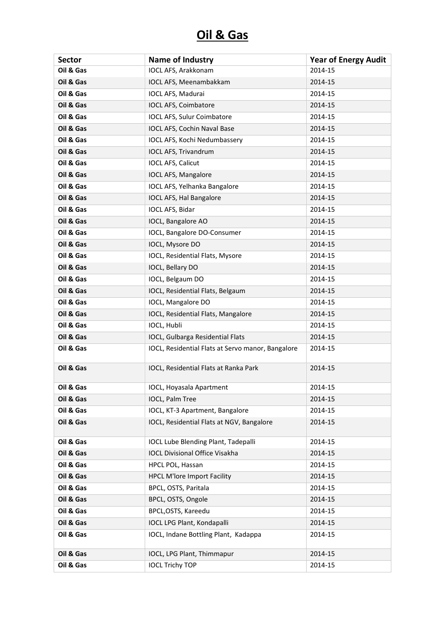| <b>Sector</b> | Name of Industry                                  | <b>Year of Energy Audit</b> |
|---------------|---------------------------------------------------|-----------------------------|
| Oil & Gas     | IOCL AFS, Arakkonam                               | 2014-15                     |
| Oil & Gas     | IOCL AFS, Meenambakkam                            | 2014-15                     |
| Oil & Gas     | IOCL AFS, Madurai                                 | 2014-15                     |
| Oil & Gas     | IOCL AFS, Coimbatore                              | 2014-15                     |
| Oil & Gas     | IOCL AFS, Sulur Coimbatore                        | 2014-15                     |
| Oil & Gas     | <b>IOCL AFS, Cochin Naval Base</b>                | 2014-15                     |
| Oil & Gas     | IOCL AFS, Kochi Nedumbassery                      | 2014-15                     |
| Oil & Gas     | <b>IOCL AFS, Trivandrum</b>                       | 2014-15                     |
| Oil & Gas     | <b>IOCL AFS, Calicut</b>                          | 2014-15                     |
| Oil & Gas     | <b>IOCL AFS, Mangalore</b>                        | 2014-15                     |
| Oil & Gas     | IOCL AFS, Yelhanka Bangalore                      | 2014-15                     |
| Oil & Gas     | IOCL AFS, Hal Bangalore                           | 2014-15                     |
| Oil & Gas     | IOCL AFS, Bidar                                   | 2014-15                     |
| Oil & Gas     | IOCL, Bangalore AO                                | 2014-15                     |
| Oil & Gas     | IOCL, Bangalore DO-Consumer                       | 2014-15                     |
| Oil & Gas     | IOCL, Mysore DO                                   | 2014-15                     |
| Oil & Gas     | IOCL, Residential Flats, Mysore                   | 2014-15                     |
| Oil & Gas     | IOCL, Bellary DO                                  | 2014-15                     |
| Oil & Gas     | IOCL, Belgaum DO                                  | 2014-15                     |
| Oil & Gas     | IOCL, Residential Flats, Belgaum                  | 2014-15                     |
| Oil & Gas     | IOCL, Mangalore DO                                | 2014-15                     |
| Oil & Gas     | IOCL, Residential Flats, Mangalore                | 2014-15                     |
| Oil & Gas     | IOCL, Hubli                                       | 2014-15                     |
| Oil & Gas     | IOCL, Gulbarga Residential Flats                  | 2014-15                     |
| Oil & Gas     | IOCL, Residential Flats at Servo manor, Bangalore | 2014-15                     |
| Oil & Gas     | IOCL, Residential Flats at Ranka Park             | 2014-15                     |
| Oil & Gas     | IOCL, Hoyasala Apartment                          | 2014-15                     |
| Oil & Gas     | IOCL, Palm Tree                                   | 2014-15                     |
| Oil & Gas     | IOCL, KT-3 Apartment, Bangalore                   | 2014-15                     |
| Oil & Gas     | IOCL, Residential Flats at NGV, Bangalore         | 2014-15                     |
| Oil & Gas     | <b>IOCL Lube Blending Plant, Tadepalli</b>        | 2014-15                     |
| Oil & Gas     | <b>IOCL Divisional Office Visakha</b>             | 2014-15                     |
| Oil & Gas     | HPCL POL, Hassan                                  | 2014-15                     |
| Oil & Gas     | <b>HPCL M'lore Import Facility</b>                | 2014-15                     |
| Oil & Gas     | BPCL, OSTS, Paritala                              | 2014-15                     |
| Oil & Gas     | BPCL, OSTS, Ongole                                | 2014-15                     |
| Oil & Gas     | BPCL, OSTS, Kareedu                               | 2014-15                     |
| Oil & Gas     | IOCL LPG Plant, Kondapalli                        | 2014-15                     |
| Oil & Gas     | IOCL, Indane Bottling Plant, Kadappa              | 2014-15                     |
| Oil & Gas     | IOCL, LPG Plant, Thimmapur                        | 2014-15                     |
| Oil & Gas     | <b>IOCL Trichy TOP</b>                            | 2014-15                     |